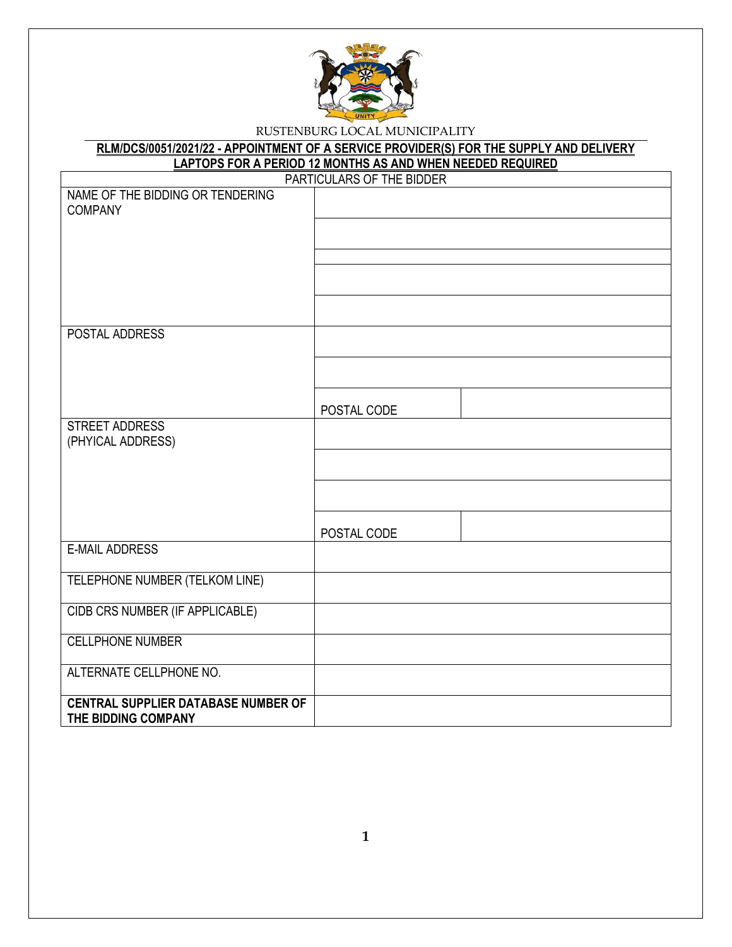

| RLM/DCS/0051/2021/22 - APPOINTMENT OF A SERVICE PROVIDER(S) FOR THE SUPPLY AND DELIVERY |  |
|-----------------------------------------------------------------------------------------|--|
| <b>LAPTOPS FOR A PERIOD 12 MONTHS AS AND WHEN NEEDED REQUIRED</b>                       |  |

| PARTICULARS OF THE BIDDER                  |             |  |  |  |
|--------------------------------------------|-------------|--|--|--|
| NAME OF THE BIDDING OR TENDERING           |             |  |  |  |
| <b>COMPANY</b>                             |             |  |  |  |
|                                            |             |  |  |  |
|                                            |             |  |  |  |
|                                            |             |  |  |  |
|                                            |             |  |  |  |
|                                            |             |  |  |  |
|                                            |             |  |  |  |
| POSTAL ADDRESS                             |             |  |  |  |
|                                            |             |  |  |  |
|                                            |             |  |  |  |
|                                            |             |  |  |  |
|                                            | POSTAL CODE |  |  |  |
| <b>STREET ADDRESS</b>                      |             |  |  |  |
| (PHYICAL ADDRESS)                          |             |  |  |  |
|                                            |             |  |  |  |
|                                            |             |  |  |  |
|                                            |             |  |  |  |
|                                            |             |  |  |  |
|                                            | POSTAL CODE |  |  |  |
| <b>E-MAIL ADDRESS</b>                      |             |  |  |  |
|                                            |             |  |  |  |
| TELEPHONE NUMBER (TELKOM LINE)             |             |  |  |  |
|                                            |             |  |  |  |
| CIDB CRS NUMBER (IF APPLICABLE)            |             |  |  |  |
|                                            |             |  |  |  |
| <b>CELLPHONE NUMBER</b>                    |             |  |  |  |
| ALTERNATE CELLPHONE NO.                    |             |  |  |  |
|                                            |             |  |  |  |
| <b>CENTRAL SUPPLIER DATABASE NUMBER OF</b> |             |  |  |  |
| THE BIDDING COMPANY                        |             |  |  |  |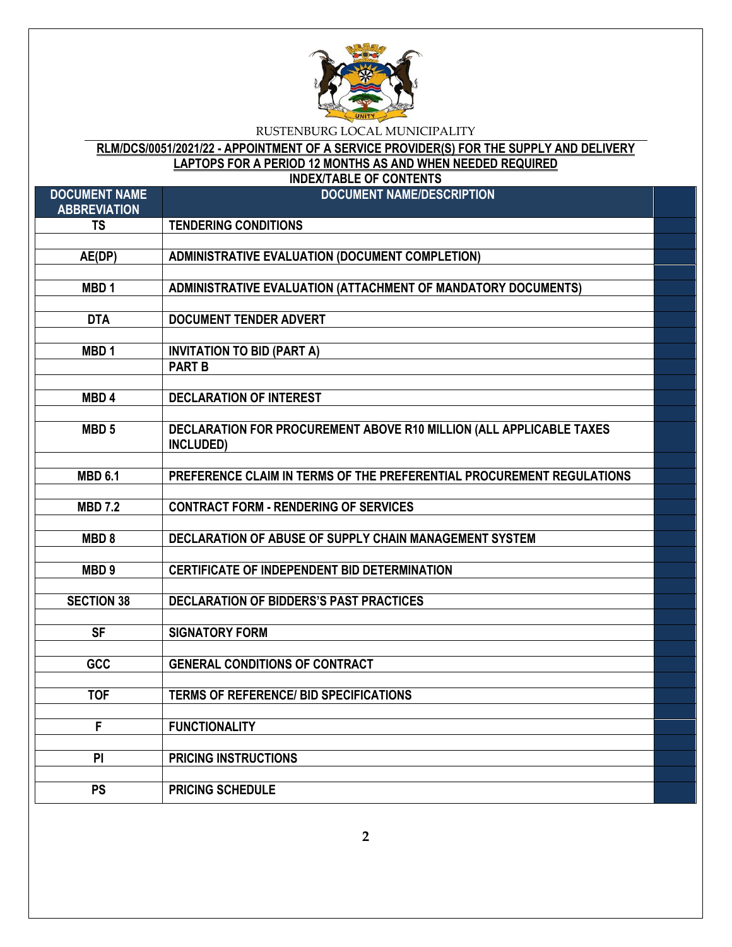

# **RLM/DCS/0051/2021/22 - APPOINTMENT OF A SERVICE PROVIDER(S) FOR THE SUPPLY AND DELIVERY LAPTOPS FOR A PERIOD 12 MONTHS AS AND WHEN NEEDED REQUIRED**

|                                             | <b>INDEX/TABLE OF CONTENTS</b>                                                   |  |
|---------------------------------------------|----------------------------------------------------------------------------------|--|
| <b>DOCUMENT NAME</b><br><b>ABBREVIATION</b> | <b>DOCUMENT NAME/DESCRIPTION</b>                                                 |  |
| <b>TS</b>                                   | <b>TENDERING CONDITIONS</b>                                                      |  |
| AE(DP)                                      | <b>ADMINISTRATIVE EVALUATION (DOCUMENT COMPLETION)</b>                           |  |
|                                             |                                                                                  |  |
| MBD <sub>1</sub>                            | ADMINISTRATIVE EVALUATION (ATTACHMENT OF MANDATORY DOCUMENTS)                    |  |
| <b>DTA</b>                                  | <b>DOCUMENT TENDER ADVERT</b>                                                    |  |
|                                             |                                                                                  |  |
| MBD <sub>1</sub>                            | <b>INVITATION TO BID (PART A)</b>                                                |  |
|                                             | <b>PART B</b>                                                                    |  |
| MBD <sub>4</sub>                            | <b>DECLARATION OF INTEREST</b>                                                   |  |
|                                             |                                                                                  |  |
| MBD <sub>5</sub>                            | DECLARATION FOR PROCUREMENT ABOVE R10 MILLION (ALL APPLICABLE TAXES<br>INCLUDED) |  |
| <b>MBD 6.1</b>                              | PREFERENCE CLAIM IN TERMS OF THE PREFERENTIAL PROCUREMENT REGULATIONS            |  |
|                                             |                                                                                  |  |
| <b>MBD 7.2</b>                              | <b>CONTRACT FORM - RENDERING OF SERVICES</b>                                     |  |
|                                             |                                                                                  |  |
| MBD <sub>8</sub>                            | DECLARATION OF ABUSE OF SUPPLY CHAIN MANAGEMENT SYSTEM                           |  |
| MBD <sub>9</sub>                            | <b>CERTIFICATE OF INDEPENDENT BID DETERMINATION</b>                              |  |
|                                             |                                                                                  |  |
| <b>SECTION 38</b>                           | DECLARATION OF BIDDERS'S PAST PRACTICES                                          |  |
| <b>SF</b>                                   | <b>SIGNATORY FORM</b>                                                            |  |
|                                             |                                                                                  |  |
| GCC                                         | <b>GENERAL CONDITIONS OF CONTRACT</b>                                            |  |
| <b>TOF</b>                                  | <b>TERMS OF REFERENCE/ BID SPECIFICATIONS</b>                                    |  |
|                                             |                                                                                  |  |
| F                                           | <b>FUNCTIONALITY</b>                                                             |  |
| P <sub>1</sub>                              | <b>PRICING INSTRUCTIONS</b>                                                      |  |
|                                             |                                                                                  |  |
| <b>PS</b>                                   | <b>PRICING SCHEDULE</b>                                                          |  |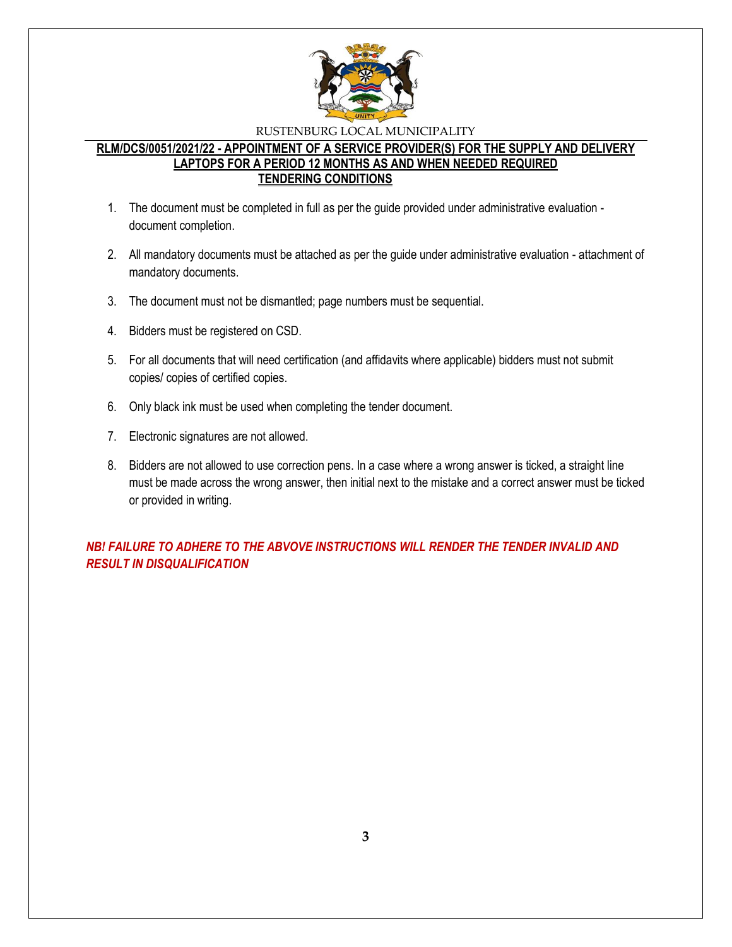

## **RLM/DCS/0051/2021/22 - APPOINTMENT OF A SERVICE PROVIDER(S) FOR THE SUPPLY AND DELIVERY LAPTOPS FOR A PERIOD 12 MONTHS AS AND WHEN NEEDED REQUIRED TENDERING CONDITIONS**

- 1. The document must be completed in full as per the guide provided under administrative evaluation document completion.
- 2. All mandatory documents must be attached as per the guide under administrative evaluation attachment of mandatory documents.
- 3. The document must not be dismantled; page numbers must be sequential.
- 4. Bidders must be registered on CSD.
- 5. For all documents that will need certification (and affidavits where applicable) bidders must not submit copies/ copies of certified copies.
- 6. Only black ink must be used when completing the tender document.
- 7. Electronic signatures are not allowed.
- 8. Bidders are not allowed to use correction pens. In a case where a wrong answer is ticked, a straight line must be made across the wrong answer, then initial next to the mistake and a correct answer must be ticked or provided in writing.

*NB! FAILURE TO ADHERE TO THE ABVOVE INSTRUCTIONS WILL RENDER THE TENDER INVALID AND RESULT IN DISQUALIFICATION*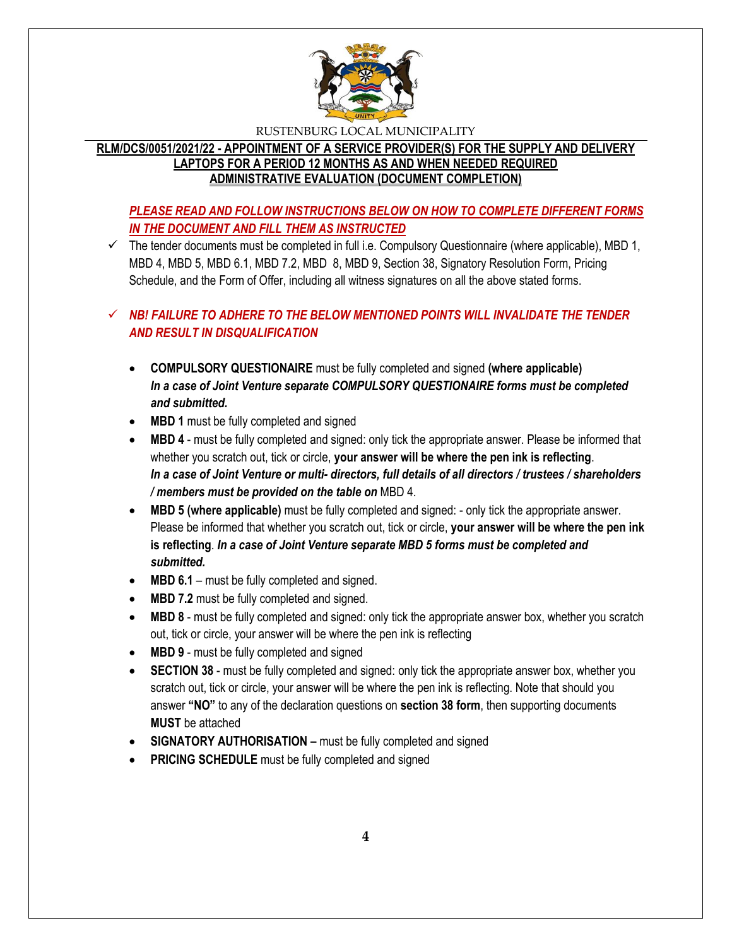

## **RLM/DCS/0051/2021/22 - APPOINTMENT OF A SERVICE PROVIDER(S) FOR THE SUPPLY AND DELIVERY LAPTOPS FOR A PERIOD 12 MONTHS AS AND WHEN NEEDED REQUIRED ADMINISTRATIVE EVALUATION (DOCUMENT COMPLETION)**

## *PLEASE READ AND FOLLOW INSTRUCTIONS BELOW ON HOW TO COMPLETE DIFFERENT FORMS IN THE DOCUMENT AND FILL THEM AS INSTRUCTED*

 $\checkmark$  The tender documents must be completed in full i.e. Compulsory Questionnaire (where applicable), MBD 1, MBD 4, MBD 5, MBD 6.1, MBD 7.2, MBD 8, MBD 9, Section 38, Signatory Resolution Form, Pricing Schedule, and the Form of Offer, including all witness signatures on all the above stated forms.

## $\checkmark$  **NB! FAILURE TO ADHERE TO THE BELOW MENTIONED POINTS WILL INVALIDATE THE TENDER** *AND RESULT IN DISQUALIFICATION*

- **COMPULSORY QUESTIONAIRE** must be fully completed and signed **(where applicable)** *In a case of Joint Venture separate COMPULSORY QUESTIONAIRE forms must be completed and submitted.*
- MBD 1 must be fully completed and signed
- **MBD 4** must be fully completed and signed: only tick the appropriate answer. Please be informed that whether you scratch out, tick or circle, **your answer will be where the pen ink is reflecting**. *In a case of Joint Venture or multi- directors, full details of all directors / trustees / shareholders / members must be provided on the table on* MBD 4.
- **MBD 5 (where applicable)** must be fully completed and signed: only tick the appropriate answer. Please be informed that whether you scratch out, tick or circle, **your answer will be where the pen ink is reflecting**. *In a case of Joint Venture separate MBD 5 forms must be completed and submitted.*
- MBD 6.1 must be fully completed and signed.
- MBD 7.2 must be fully completed and signed.
- **MBD 8** must be fully completed and signed: only tick the appropriate answer box, whether you scratch out, tick or circle, your answer will be where the pen ink is reflecting
- MBD 9 must be fully completed and signed
- **SECTION 38** must be fully completed and signed: only tick the appropriate answer box, whether you scratch out, tick or circle, your answer will be where the pen ink is reflecting. Note that should you answer **"NO"** to any of the declaration questions on **section 38 form**, then supporting documents **MUST** be attached
- **SIGNATORY AUTHORISATION –** must be fully completed and signed
- **PRICING SCHEDULE** must be fully completed and signed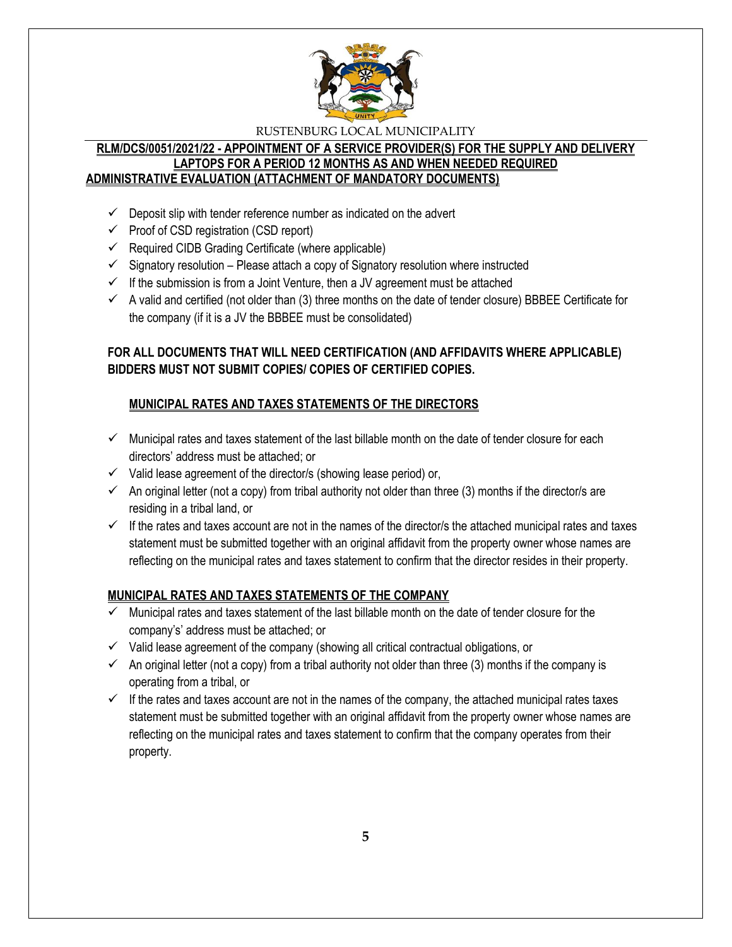

## **RLM/DCS/0051/2021/22 - APPOINTMENT OF A SERVICE PROVIDER(S) FOR THE SUPPLY AND DELIVERY LAPTOPS FOR A PERIOD 12 MONTHS AS AND WHEN NEEDED REQUIRED ADMINISTRATIVE EVALUATION (ATTACHMENT OF MANDATORY DOCUMENTS)**

- $\checkmark$  Deposit slip with tender reference number as indicated on the advert
- $\checkmark$  Proof of CSD registration (CSD report)
- $\checkmark$  Required CIDB Grading Certificate (where applicable)
- $\checkmark$  Signatory resolution Please attach a copy of Signatory resolution where instructed
- $\checkmark$  If the submission is from a Joint Venture, then a JV agreement must be attached
- $\checkmark$  A valid and certified (not older than (3) three months on the date of tender closure) BBBEE Certificate for the company (if it is a JV the BBBEE must be consolidated)

## **FOR ALL DOCUMENTS THAT WILL NEED CERTIFICATION (AND AFFIDAVITS WHERE APPLICABLE) BIDDERS MUST NOT SUBMIT COPIES/ COPIES OF CERTIFIED COPIES.**

## **MUNICIPAL RATES AND TAXES STATEMENTS OF THE DIRECTORS**

- $\checkmark$  Municipal rates and taxes statement of the last billable month on the date of tender closure for each directors' address must be attached; or
- $\checkmark$  Valid lease agreement of the director/s (showing lease period) or,
- $\checkmark$  An original letter (not a copy) from tribal authority not older than three (3) months if the director/s are residing in a tribal land, or
- $\checkmark$  If the rates and taxes account are not in the names of the director/s the attached municipal rates and taxes statement must be submitted together with an original affidavit from the property owner whose names are reflecting on the municipal rates and taxes statement to confirm that the director resides in their property.

## **MUNICIPAL RATES AND TAXES STATEMENTS OF THE COMPANY**

- $\checkmark$  Municipal rates and taxes statement of the last billable month on the date of tender closure for the company's' address must be attached; or
- $\checkmark$  Valid lease agreement of the company (showing all critical contractual obligations, or
- $\checkmark$  An original letter (not a copy) from a tribal authority not older than three (3) months if the company is operating from a tribal, or
- $\checkmark$  If the rates and taxes account are not in the names of the company, the attached municipal rates taxes statement must be submitted together with an original affidavit from the property owner whose names are reflecting on the municipal rates and taxes statement to confirm that the company operates from their property.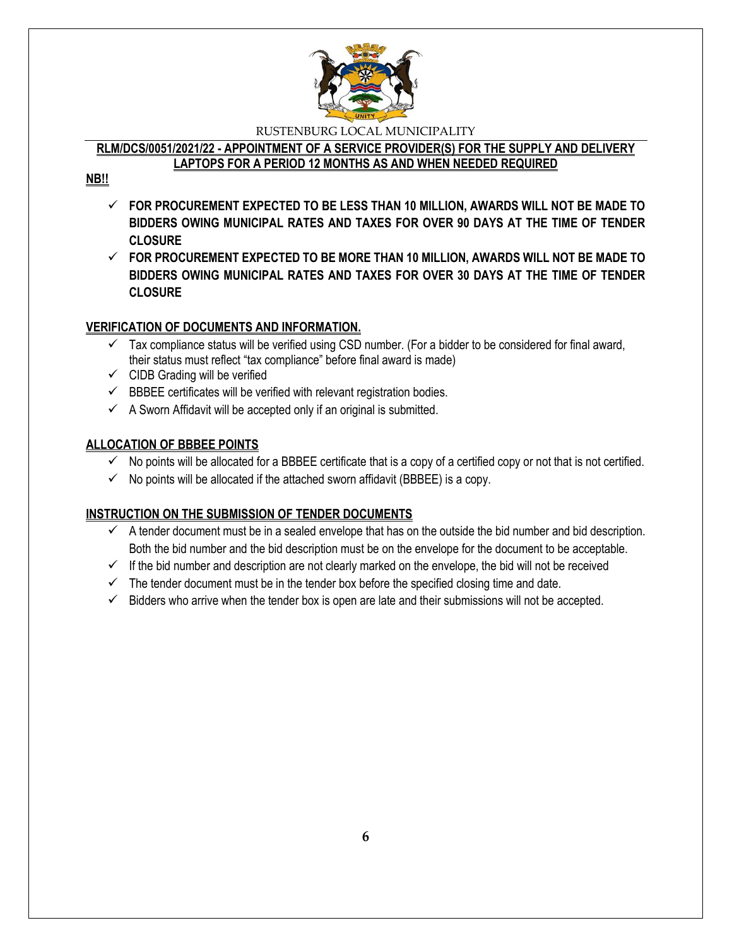

# **RLM/DCS/0051/2021/22 - APPOINTMENT OF A SERVICE PROVIDER(S) FOR THE SUPPLY AND DELIVERY**

**LAPTOPS FOR A PERIOD 12 MONTHS AS AND WHEN NEEDED REQUIRED**

## **NB!!**

- **FOR PROCUREMENT EXPECTED TO BE LESS THAN 10 MILLION, AWARDS WILL NOT BE MADE TO BIDDERS OWING MUNICIPAL RATES AND TAXES FOR OVER 90 DAYS AT THE TIME OF TENDER CLOSURE**
- **FOR PROCUREMENT EXPECTED TO BE MORE THAN 10 MILLION, AWARDS WILL NOT BE MADE TO BIDDERS OWING MUNICIPAL RATES AND TAXES FOR OVER 30 DAYS AT THE TIME OF TENDER CLOSURE**

## **VERIFICATION OF DOCUMENTS AND INFORMATION.**

- $\checkmark$  Tax compliance status will be verified using CSD number. (For a bidder to be considered for final award, their status must reflect "tax compliance" before final award is made)
- $\checkmark$  CIDB Grading will be verified
- $\checkmark$  BBBEE certificates will be verified with relevant registration bodies.
- $\checkmark$  A Sworn Affidavit will be accepted only if an original is submitted.

## **ALLOCATION OF BBBEE POINTS**

- $\checkmark$  No points will be allocated for a BBBEE certificate that is a copy of a certified copy or not that is not certified.
- $\checkmark$  No points will be allocated if the attached sworn affidavit (BBBEE) is a copy.

## **INSTRUCTION ON THE SUBMISSION OF TENDER DOCUMENTS**

- $\checkmark$  A tender document must be in a sealed envelope that has on the outside the bid number and bid description. Both the bid number and the bid description must be on the envelope for the document to be acceptable.
- $\checkmark$  If the bid number and description are not clearly marked on the envelope, the bid will not be received
- $\checkmark$  The tender document must be in the tender box before the specified closing time and date.
- $\checkmark$  Bidders who arrive when the tender box is open are late and their submissions will not be accepted.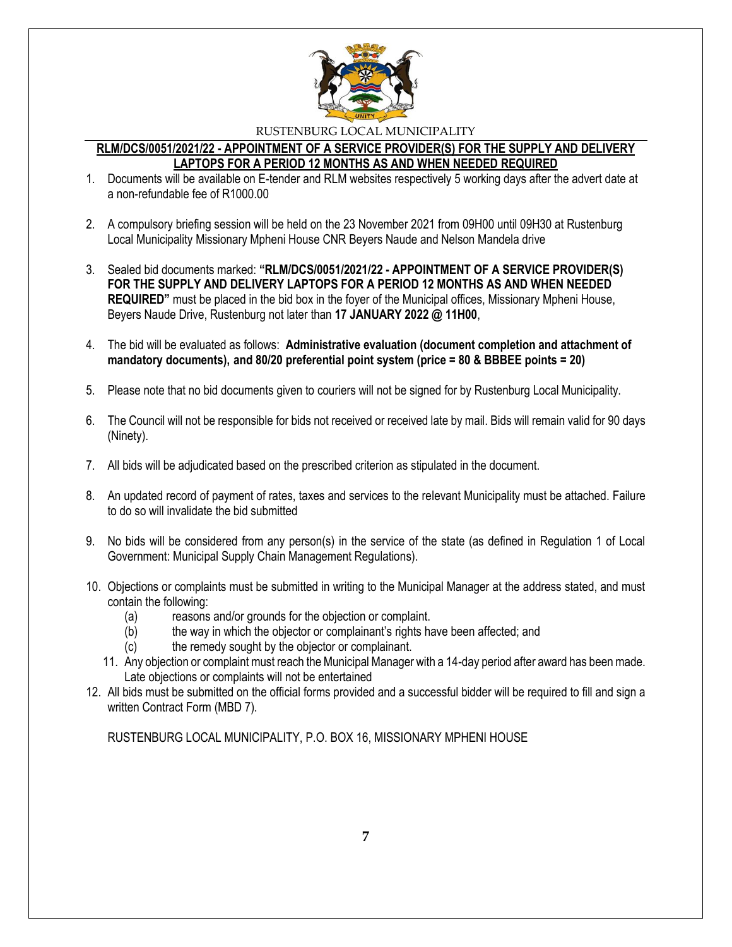

## **RLM/DCS/0051/2021/22 - APPOINTMENT OF A SERVICE PROVIDER(S) FOR THE SUPPLY AND DELIVERY LAPTOPS FOR A PERIOD 12 MONTHS AS AND WHEN NEEDED REQUIRED**

- 1. Documents will be available on E-tender and RLM websites respectively 5 working days after the advert date at a non-refundable fee of R1000.00
- 2. A compulsory briefing session will be held on the 23 November 2021 from 09H00 until 09H30 at Rustenburg Local Municipality Missionary Mpheni House CNR Beyers Naude and Nelson Mandela drive
- 3. Sealed bid documents marked: **"RLM/DCS/0051/2021/22 - APPOINTMENT OF A SERVICE PROVIDER(S) FOR THE SUPPLY AND DELIVERY LAPTOPS FOR A PERIOD 12 MONTHS AS AND WHEN NEEDED REQUIRED"** must be placed in the bid box in the foyer of the Municipal offices, Missionary Mpheni House, Beyers Naude Drive, Rustenburg not later than **17 JANUARY 2022 @ 11H00**,
- 4. The bid will be evaluated as follows: **Administrative evaluation (document completion and attachment of mandatory documents), and 80/20 preferential point system (price = 80 & BBBEE points = 20)**
- 5. Please note that no bid documents given to couriers will not be signed for by Rustenburg Local Municipality.
- 6. The Council will not be responsible for bids not received or received late by mail. Bids will remain valid for 90 days (Ninety).
- 7. All bids will be adjudicated based on the prescribed criterion as stipulated in the document.
- 8. An updated record of payment of rates, taxes and services to the relevant Municipality must be attached. Failure to do so will invalidate the bid submitted
- 9. No bids will be considered from any person(s) in the service of the state (as defined in Regulation 1 of Local Government: Municipal Supply Chain Management Regulations).
- 10. Objections or complaints must be submitted in writing to the Municipal Manager at the address stated, and must contain the following:
	- (a) reasons and/or grounds for the objection or complaint.
	- (b) the way in which the objector or complainant's rights have been affected; and
	- (c) the remedy sought by the objector or complainant.
	- 11. Any objection or complaint must reach the Municipal Manager with a 14-day period after award has been made. Late objections or complaints will not be entertained
- 12. All bids must be submitted on the official forms provided and a successful bidder will be required to fill and sign a written Contract Form (MBD 7).

RUSTENBURG LOCAL MUNICIPALITY, P.O. BOX 16, MISSIONARY MPHENI HOUSE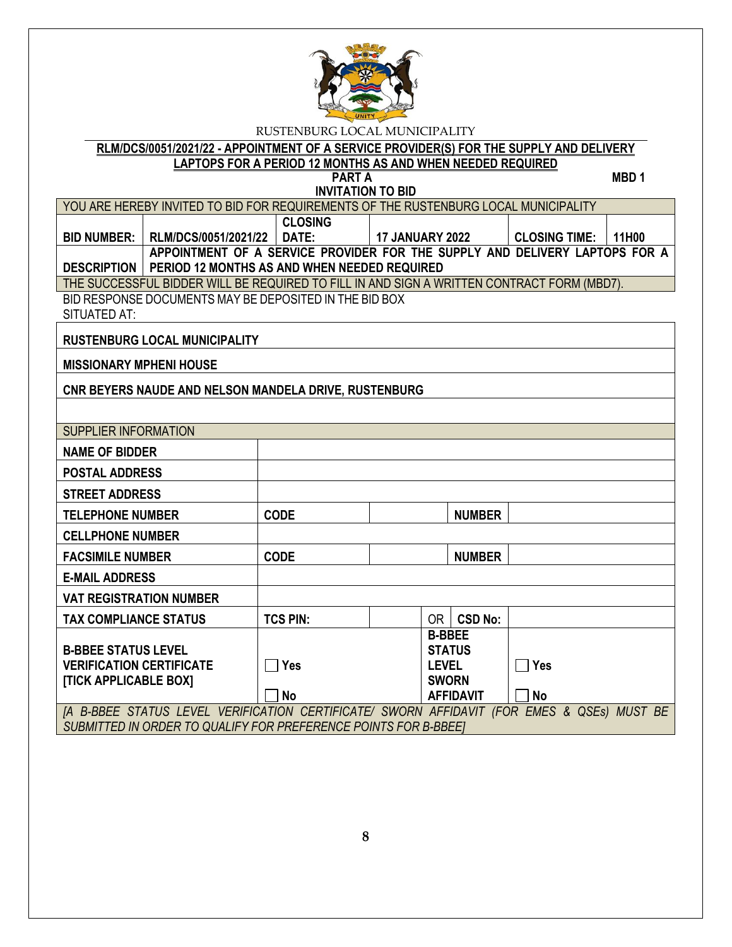

**RLM/DCS/0051/2021/22 - APPOINTMENT OF A SERVICE PROVIDER(S) FOR THE SUPPLY AND DELIVERY LAPTOPS FOR A PERIOD 12 MONTHS AS AND WHEN NEEDED REQUIRED**

**PART A** MBD 1 **INVITATION TO BID**

YOU ARE HEREBY INVITED TO BID FOR REQUIREMENTS OF THE RUSTENBURG LOCAL MUNICIPALITY

**BID NUMBER: RLM/DCS/0051/2021/22 CLOSING DATE: 17 JANUARY 2022 CLOSING TIME: 11H00 DESCRIPTION PERIOD 12 MONTHS AS AND WHEN NEEDED REQUIRED APPOINTMENT OF A SERVICE PROVIDER FOR THE SUPPLY AND DELIVERY LAPTOPS FOR A** 

THE SUCCESSFUL BIDDER WILL BE REQUIRED TO FILL IN AND SIGN A WRITTEN CONTRACT FORM (MBD7).

BID RESPONSE DOCUMENTS MAY BE DEPOSITED IN THE BID BOX SITUATED AT:

**RUSTENBURG LOCAL MUNICIPALITY**

**MISSIONARY MPHENI HOUSE**

**CNR BEYERS NAUDE AND NELSON MANDELA DRIVE, RUSTENBURG**

| SUPPLIER INFORMATION                                             |                 |               |                  |                           |  |  |
|------------------------------------------------------------------|-----------------|---------------|------------------|---------------------------|--|--|
| <b>NAME OF BIDDER</b>                                            |                 |               |                  |                           |  |  |
| <b>POSTAL ADDRESS</b>                                            |                 |               |                  |                           |  |  |
| <b>STREET ADDRESS</b>                                            |                 |               |                  |                           |  |  |
| <b>TELEPHONE NUMBER</b>                                          | <b>CODE</b>     |               | <b>NUMBER</b>    |                           |  |  |
| <b>CELLPHONE NUMBER</b>                                          |                 |               |                  |                           |  |  |
| <b>FACSIMILE NUMBER</b>                                          | <b>CODE</b>     |               | <b>NUMBER</b>    |                           |  |  |
| <b>E-MAIL ADDRESS</b>                                            |                 |               |                  |                           |  |  |
| <b>VAT REGISTRATION NUMBER</b>                                   |                 |               |                  |                           |  |  |
| <b>TAX COMPLIANCE STATUS</b>                                     | <b>TCS PIN:</b> | 0R            | <b>CSD No:</b>   |                           |  |  |
|                                                                  |                 | <b>B-BBEE</b> |                  |                           |  |  |
| <b>B-BBEE STATUS LEVEL</b>                                       |                 |               | <b>STATUS</b>    |                           |  |  |
| <b>VERIFICATION CERTIFICATE</b>                                  | <b>Yes</b>      | <b>LEVEL</b>  |                  | <b>Nes</b>                |  |  |
| [TICK APPLICABLE BOX]                                            |                 | <b>SWORN</b>  |                  |                           |  |  |
|                                                                  | <b>No</b>       |               | <b>AFFIDAVIT</b> | <b>No</b>                 |  |  |
| [A B-BBEE STATUS LEVEL VERIFICATION CERTIFICATE/ SWORN AFFIDAVIT |                 |               |                  | (FOR EMES & QSEs) MUST BE |  |  |
| SUBMITTED IN ORDER TO QUALIFY FOR PREFERENCE POINTS FOR B-BBEET  |                 |               |                  |                           |  |  |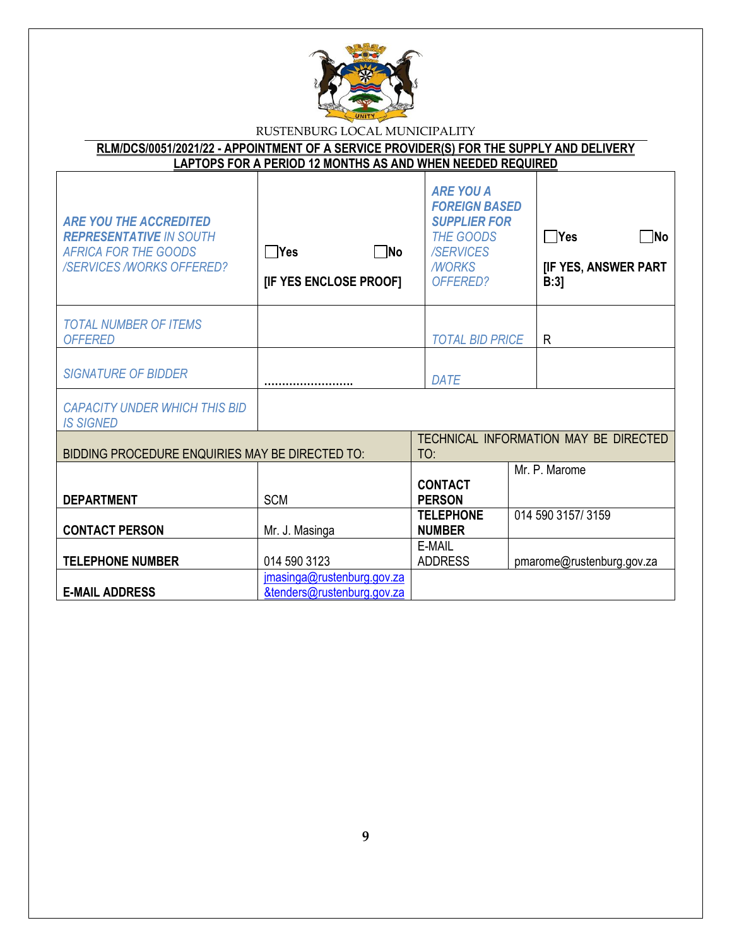

| RLM/DCS/0051/2021/22 - APPOINTMENT OF A SERVICE PROVIDER(S) FOR THE SUPPLY AND DELIVERY |  |
|-----------------------------------------------------------------------------------------|--|
| LAPTOPS FOR A PERIOD 12 MONTHS AS AND WHEN NEEDED REQUIRED                              |  |

| <b>ARE YOU THE ACCREDITED</b><br><b>REPRESENTATIVE IN SOUTH</b><br><b>AFRICA FOR THE GOODS</b><br><b>/SERVICES/WORKS OFFERED?</b> | $\neg$ No<br>$\Box$ Yes<br>[IF YES ENCLOSE PROOF]        | <b>ARE YOU A</b><br><b>FOREIGN BASED</b><br><b>SUPPLIER FOR</b><br><b>THE GOODS</b><br><b>/SERVICES</b><br><b>NORKS</b><br>OFFERED? | $\Box$ Yes<br>ΠNο<br>[IF YES, ANSWER PART<br>B:3 |
|-----------------------------------------------------------------------------------------------------------------------------------|----------------------------------------------------------|-------------------------------------------------------------------------------------------------------------------------------------|--------------------------------------------------|
| <b>TOTAL NUMBER OF ITEMS</b><br><b>OFFERED</b>                                                                                    |                                                          | <b>TOTAL BID PRICE</b>                                                                                                              | R.                                               |
| <b>SIGNATURE OF BIDDER</b>                                                                                                        |                                                          | <b>DATE</b>                                                                                                                         |                                                  |
| <b>CAPACITY UNDER WHICH THIS BID</b><br><b>IS SIGNED</b>                                                                          |                                                          |                                                                                                                                     |                                                  |
| BIDDING PROCEDURE ENQUIRIES MAY BE DIRECTED TO:                                                                                   |                                                          | TO:                                                                                                                                 | TECHNICAL INFORMATION MAY BE DIRECTED            |
| <b>DEPARTMENT</b>                                                                                                                 | <b>SCM</b>                                               | <b>CONTACT</b><br><b>PERSON</b>                                                                                                     | Mr. P. Marome                                    |
| <b>CONTACT PERSON</b>                                                                                                             | Mr. J. Masinga                                           | <b>TELEPHONE</b><br><b>NUMBER</b>                                                                                                   | 014 590 3157/3159                                |
| <b>TELEPHONE NUMBER</b>                                                                                                           | 014 590 3123                                             | E-MAIL<br><b>ADDRESS</b>                                                                                                            | pmarome@rustenburg.gov.za                        |
| <b>E-MAIL ADDRESS</b>                                                                                                             | jmasinga@rustenburg.gov.za<br>&tenders@rustenburg.gov.za |                                                                                                                                     |                                                  |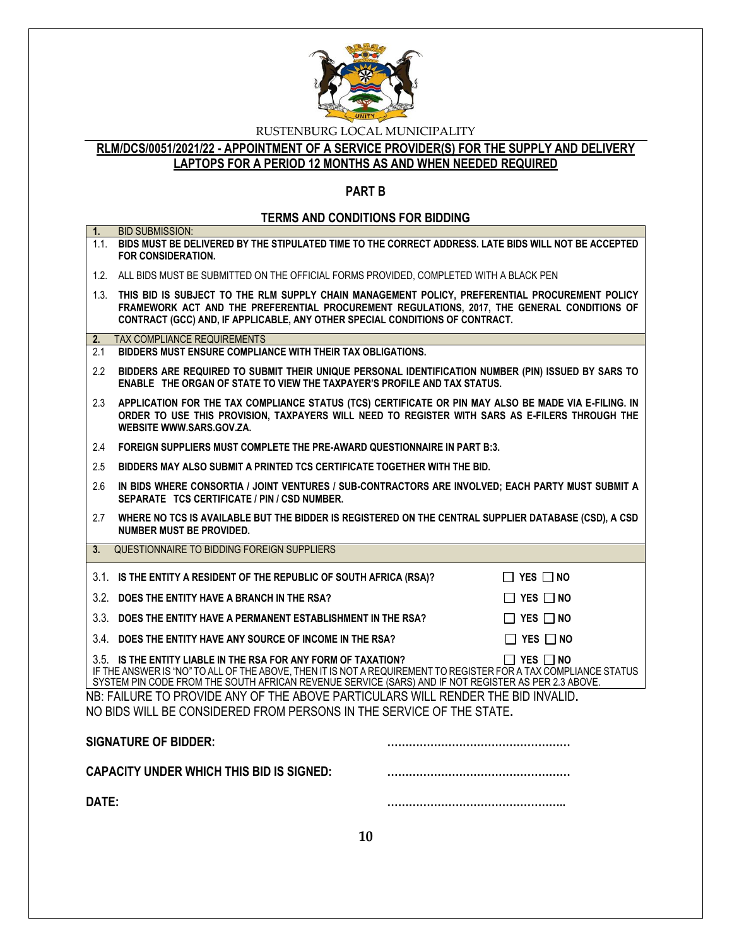

## **RLM/DCS/0051/2021/22 - APPOINTMENT OF A SERVICE PROVIDER(S) FOR THE SUPPLY AND DELIVERY LAPTOPS FOR A PERIOD 12 MONTHS AS AND WHEN NEEDED REQUIRED**

## **PART B**

## **TERMS AND CONDITIONS FOR BIDDING**

| 1.    | <b>BID SUBMISSION:</b><br>1.1. BIDS MUST BE DELIVERED BY THE STIPULATED TIME TO THE CORRECT ADDRESS. LATE BIDS WILL NOT BE ACCEPTED<br>FOR CONSIDERATION.                                                                                                                                                        |
|-------|------------------------------------------------------------------------------------------------------------------------------------------------------------------------------------------------------------------------------------------------------------------------------------------------------------------|
|       | 1.2. ALL BIDS MUST BE SUBMITTED ON THE OFFICIAL FORMS PROVIDED, COMPLETED WITH A BLACK PEN                                                                                                                                                                                                                       |
|       | 1.3. THIS BID IS SUBJECT TO THE RLM SUPPLY CHAIN MANAGEMENT POLICY, PREFERENTIAL PROCUREMENT POLICY<br>FRAMEWORK ACT AND THE PREFERENTIAL PROCUREMENT REGULATIONS, 2017, THE GENERAL CONDITIONS OF<br>CONTRACT (GCC) AND, IF APPLICABLE, ANY OTHER SPECIAL CONDITIONS OF CONTRACT.                               |
| 2.    | <b>TAX COMPLIANCE REQUIREMENTS</b>                                                                                                                                                                                                                                                                               |
| 2.1   | BIDDERS MUST ENSURE COMPLIANCE WITH THEIR TAX OBLIGATIONS.                                                                                                                                                                                                                                                       |
| 2.2   | BIDDERS ARE REQUIRED TO SUBMIT THEIR UNIQUE PERSONAL IDENTIFICATION NUMBER (PIN) ISSUED BY SARS TO<br>ENABLE THE ORGAN OF STATE TO VIEW THE TAXPAYER'S PROFILE AND TAX STATUS.                                                                                                                                   |
| 2.3   | APPLICATION FOR THE TAX COMPLIANCE STATUS (TCS) CERTIFICATE OR PIN MAY ALSO BE MADE VIA E-FILING. IN<br>ORDER TO USE THIS PROVISION, TAXPAYERS WILL NEED TO REGISTER WITH SARS AS E-FILERS THROUGH THE<br>WEBSITE WWW.SARS.GOV.ZA.                                                                               |
| 2.4   | FOREIGN SUPPLIERS MUST COMPLETE THE PRE-AWARD QUESTIONNAIRE IN PART B:3.                                                                                                                                                                                                                                         |
| 2.5   | BIDDERS MAY ALSO SUBMIT A PRINTED TCS CERTIFICATE TOGETHER WITH THE BID.                                                                                                                                                                                                                                         |
| 2.6   | IN BIDS WHERE CONSORTIA / JOINT VENTURES / SUB-CONTRACTORS ARE INVOLVED; EACH PARTY MUST SUBMIT A<br>SEPARATE TCS CERTIFICATE / PIN / CSD NUMBER.                                                                                                                                                                |
| 2.7   | WHERE NO TCS IS AVAILABLE BUT THE BIDDER IS REGISTERED ON THE CENTRAL SUPPLIER DATABASE (CSD), A CSD<br>NUMBER MUST BE PROVIDED.                                                                                                                                                                                 |
| 3.    | QUESTIONNAIRE TO BIDDING FOREIGN SUPPLIERS                                                                                                                                                                                                                                                                       |
|       | 3.1. IS THE ENTITY A RESIDENT OF THE REPUBLIC OF SOUTH AFRICA (RSA)?<br>$\Box$ YES $\Box$ NO                                                                                                                                                                                                                     |
|       | 3.2. DOES THE ENTITY HAVE A BRANCH IN THE RSA?<br>$\Box$ Yes $\Box$ No                                                                                                                                                                                                                                           |
|       | 3.3. DOES THE ENTITY HAVE A PERMANENT ESTABLISHMENT IN THE RSA?<br>$\Box$ YES $\Box$ NO                                                                                                                                                                                                                          |
|       | 3.4 DOES THE ENTITY HAVE ANY SOURCE OF INCOME IN THE RSA?<br>$\Box$ YES $\Box$ NO                                                                                                                                                                                                                                |
|       | 3.5. IS THE ENTITY LIABLE IN THE RSA FOR ANY FORM OF TAXATION?<br>$\Box$ Yes $\Box$ No<br>IF THE ANSWER IS "NO" TO ALL OF THE ABOVE, THEN IT IS NOT A REQUIREMENT TO REGISTER FOR A TAX COMPLIANCE STATUS<br>SYSTEM PIN CODE FROM THE SOUTH AFRICAN REVENUE SERVICE (SARS) AND IF NOT REGISTER AS PER 2.3 ABOVE. |
|       | NB: FAILURE TO PROVIDE ANY OF THE ABOVE PARTICULARS WILL RENDER THE BID INVALID.<br>NO BIDS WILL BE CONSIDERED FROM PERSONS IN THE SERVICE OF THE STATE.                                                                                                                                                         |
|       | <b>SIGNATURE OF BIDDER:</b>                                                                                                                                                                                                                                                                                      |
|       | <b>CAPACITY UNDER WHICH THIS BID IS SIGNED:</b>                                                                                                                                                                                                                                                                  |
| DATE: |                                                                                                                                                                                                                                                                                                                  |
|       | 10                                                                                                                                                                                                                                                                                                               |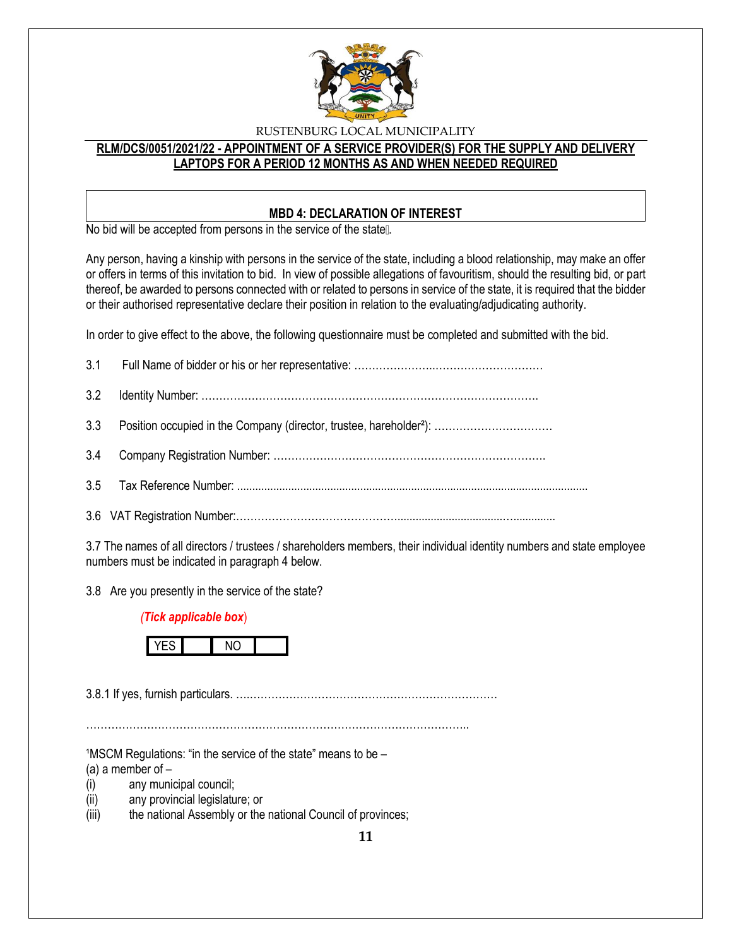

## **RLM/DCS/0051/2021/22 - APPOINTMENT OF A SERVICE PROVIDER(S) FOR THE SUPPLY AND DELIVERY LAPTOPS FOR A PERIOD 12 MONTHS AS AND WHEN NEEDED REQUIRED**

### **MBD 4: DECLARATION OF INTEREST**

No bid will be accepted from persons in the service of the state ...

Any person, having a kinship with persons in the service of the state, including a blood relationship, may make an offer or offers in terms of this invitation to bid. In view of possible allegations of favouritism, should the resulting bid, or part thereof, be awarded to persons connected with or related to persons in service of the state, it is required that the bidder or their authorised representative declare their position in relation to the evaluating/adjudicating authority.

In order to give effect to the above, the following questionnaire must be completed and submitted with the bid.

3.7 The names of all directors / trustees / shareholders members, their individual identity numbers and state employee numbers must be indicated in paragraph 4 below.

3.8 Are you presently in the service of the state?

#### *(Tick applicable box*)



3.8.1 If yes, furnish particulars. ….……………………………………………………………

……………………………………………………………………………………………..

 $1$ MSCM Regulations: "in the service of the state" means to be  $-$ 

(a) a member of  $-$ 

- (i) any municipal council;
- (ii) any provincial legislature; or
- (iii) the national Assembly or the national Council of provinces;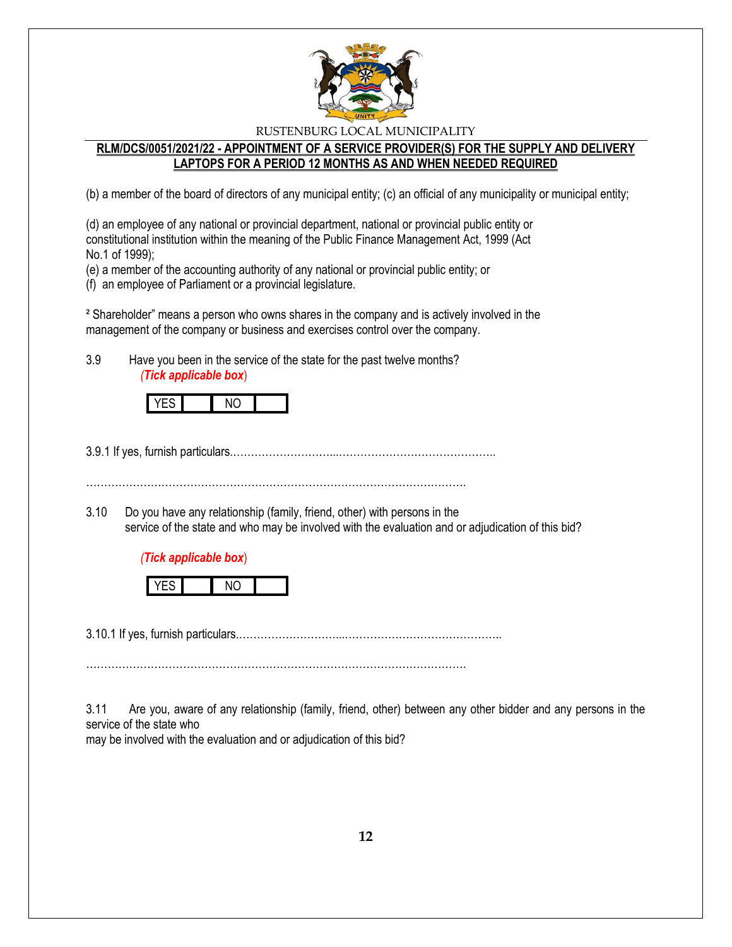

### **RLM/DCS/0051/2021/22 - APPOINTMENT OF A SERVICE PROVIDER(S) FOR THE SUPPLY AND DELIVERY LAPTOPS FOR A PERIOD 12 MONTHS AS AND WHEN NEEDED REQUIRED**

(b) a member of the board of directors of any municipal entity; (c) an official of any municipality or municipal entity;

(d) an employee of any national or provincial department, national or provincial public entity or constitutional institution within the meaning of the Public Finance Management Act, 1999 (Act No.1 of 1999);

(e) a member of the accounting authority of any national or provincial public entity; or

(f) an employee of Parliament or a provincial legislature.

² Shareholder" means a person who owns shares in the company and is actively involved in the management of the company or business and exercises control over the company.

3.9 Have you been in the service of the state for the past twelve months? *(Tick applicable box*)

3.9.1 If yes, furnish particulars.………………………...……………………………………..

…………………………………………………………………………………………….

3.10 Do you have any relationship (family, friend, other) with persons in the service of the state and who may be involved with the evaluation and or adjudication of this bid?

#### *(Tick applicable box*)



3.10.1 If yes, furnish particulars.………………………...……………………………………..

…………………………………………………………………………………………….

3.11 Are you, aware of any relationship (family, friend, other) between any other bidder and any persons in the service of the state who

may be involved with the evaluation and or adjudication of this bid?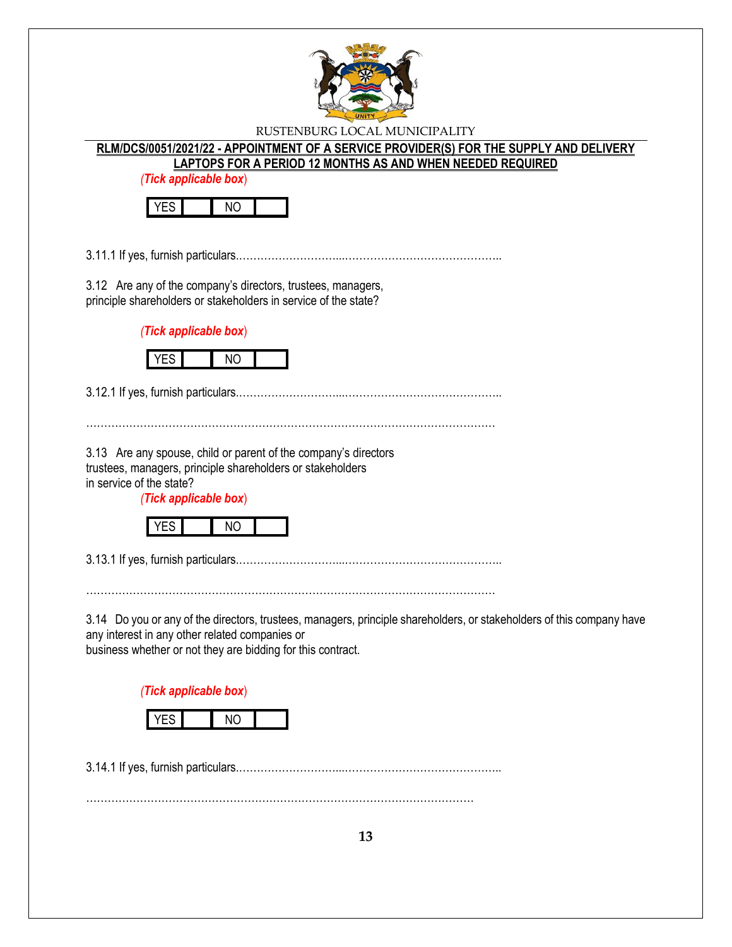

# **RLM/DCS/0051/2021/22 - APPOINTMENT OF A SERVICE PROVIDER(S) FOR THE SUPPLY AND DELIVERY**

**LAPTOPS FOR A PERIOD 12 MONTHS AS AND WHEN NEEDED REQUIRED**

*(Tick applicable box*)



3.11.1 If yes, furnish particulars.………………………...……………………………………..

3.12 Are any of the company's directors, trustees, managers, principle shareholders or stakeholders in service of the state?

*(Tick applicable box*)



3.12.1 If yes, furnish particulars.………………………...……………………………………..

……………………………………………………………………………………………………

3.13 Are any spouse, child or parent of the company's directors trustees, managers, principle shareholders or stakeholders in service of the state?

*(Tick applicable box*)



3.13.1 If yes, furnish particulars.………………………...……………………………………..

……………………………………………………………………………………………………

3.14 Do you or any of the directors, trustees, managers, principle shareholders, or stakeholders of this company have any interest in any other related companies or

business whether or not they are bidding for this contract.

*(Tick applicable box*)



3.14.1 If yes, furnish particulars.………………………...……………………………………..

………………………………………………………………………………………………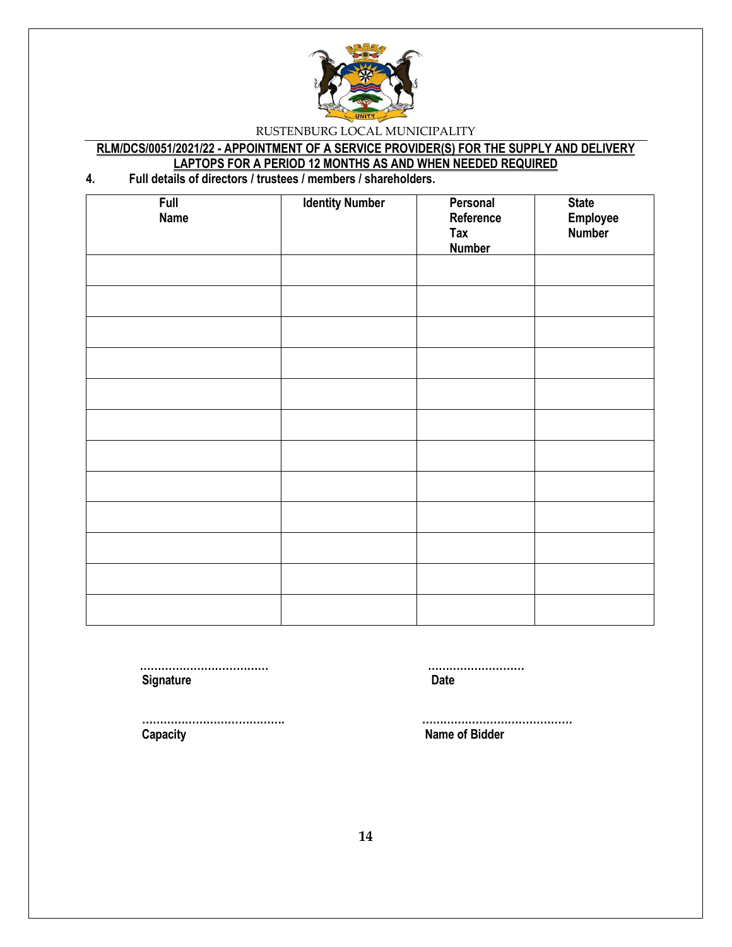

## **RLM/DCS/0051/2021/22 - APPOINTMENT OF A SERVICE PROVIDER(S) FOR THE SUPPLY AND DELIVERY LAPTOPS FOR A PERIOD 12 MONTHS AS AND WHEN NEEDED REQUIRED**

## **4. Full details of directors / trustees / members / shareholders.**

| Full<br><b>Name</b> | <b>Identity Number</b> | Personal<br>Reference<br>Tax<br><b>Number</b> | <b>State</b><br>Employee<br>Number |
|---------------------|------------------------|-----------------------------------------------|------------------------------------|
|                     |                        |                                               |                                    |
|                     |                        |                                               |                                    |
|                     |                        |                                               |                                    |
|                     |                        |                                               |                                    |
|                     |                        |                                               |                                    |
|                     |                        |                                               |                                    |
|                     |                        |                                               |                                    |
|                     |                        |                                               |                                    |
|                     |                        |                                               |                                    |
|                     |                        |                                               |                                    |
|                     |                        |                                               |                                    |
|                     |                        |                                               |                                    |

**Signature Date** 

 **……………………………… ………………………**

 **Capacity Name of Bidder**

 **…………………………………. ……………………………………**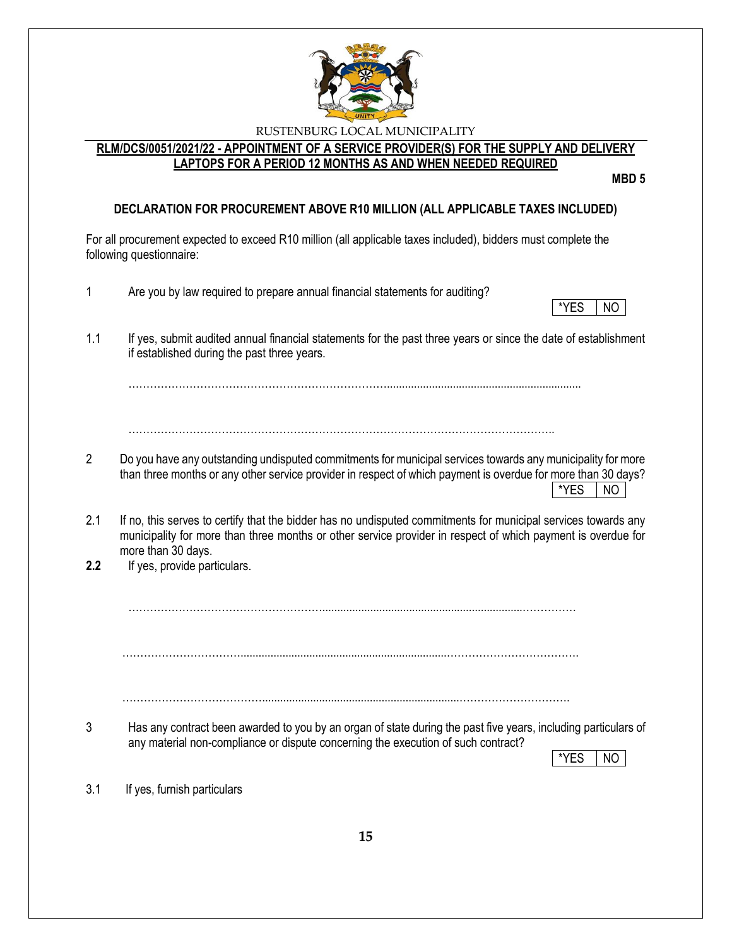

## **RLM/DCS/0051/2021/22 - APPOINTMENT OF A SERVICE PROVIDER(S) FOR THE SUPPLY AND DELIVERY LAPTOPS FOR A PERIOD 12 MONTHS AS AND WHEN NEEDED REQUIRED**

**MBD 5**

## **DECLARATION FOR PROCUREMENT ABOVE R10 MILLION (ALL APPLICABLE TAXES INCLUDED)**

For all procurement expected to exceed R10 million (all applicable taxes included), bidders must complete the following questionnaire:

| 1              | Are you by law required to prepare annual financial statements for auditing?<br>*YES<br>NO.                                                                                                                                                          |
|----------------|------------------------------------------------------------------------------------------------------------------------------------------------------------------------------------------------------------------------------------------------------|
| 1.1            | If yes, submit audited annual financial statements for the past three years or since the date of establishment<br>if established during the past three years.                                                                                        |
|                |                                                                                                                                                                                                                                                      |
| $\overline{2}$ | Do you have any outstanding undisputed commitments for municipal services towards any municipality for more<br>than three months or any other service provider in respect of which payment is overdue for more than 30 days?<br>*YES<br>NO           |
| 2.1            | If no, this serves to certify that the bidder has no undisputed commitments for municipal services towards any<br>municipality for more than three months or other service provider in respect of which payment is overdue for<br>more than 30 days. |
| 2.2            | If yes, provide particulars.                                                                                                                                                                                                                         |
|                |                                                                                                                                                                                                                                                      |
|                |                                                                                                                                                                                                                                                      |
| 3              | Has any contract been awarded to you by an organ of state during the past five years, including particulars of<br>any material non-compliance or dispute concerning the execution of such contract?<br>*YES<br><b>NO</b>                             |
| 3.1            | If yes, furnish particulars                                                                                                                                                                                                                          |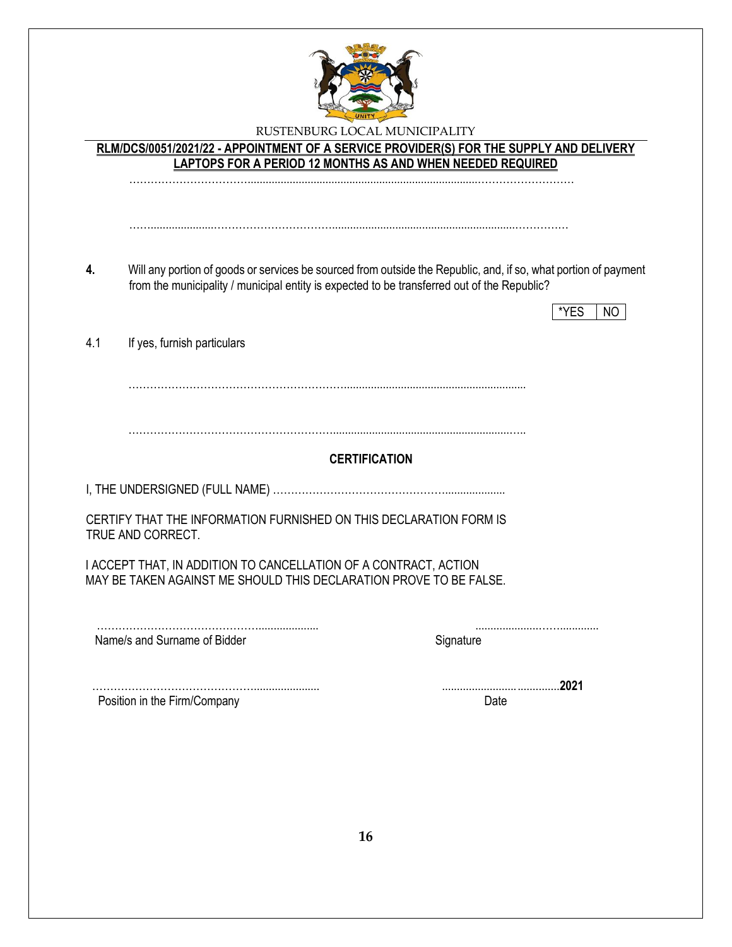

**RLM/DCS/0051/2021/22 - APPOINTMENT OF A SERVICE PROVIDER(S) FOR THE SUPPLY AND DELIVERY LAPTOPS FOR A PERIOD 12 MONTHS AS AND WHEN NEEDED REQUIRED**

…………………………….............................................................................………………………

**4.** Will any portion of goods or services be sourced from outside the Republic, and, if so, what portion of payment from the municipality / municipal entity is expected to be transferred out of the Republic?

…….....................…………………………….............................................................……………

|                                                                                                                                        |                      | *YES<br>NO |
|----------------------------------------------------------------------------------------------------------------------------------------|----------------------|------------|
| 4.1<br>If yes, furnish particulars                                                                                                     |                      |            |
|                                                                                                                                        |                      |            |
|                                                                                                                                        |                      |            |
|                                                                                                                                        | <b>CERTIFICATION</b> |            |
|                                                                                                                                        |                      |            |
| CERTIFY THAT THE INFORMATION FURNISHED ON THIS DECLARATION FORM IS<br>TRUE AND CORRECT.                                                |                      |            |
| I ACCEPT THAT, IN ADDITION TO CANCELLATION OF A CONTRACT, ACTION<br>MAY BE TAKEN AGAINST ME SHOULD THIS DECLARATION PROVE TO BE FALSE. |                      |            |
| Name/s and Surname of Bidder                                                                                                           | Signature            |            |
|                                                                                                                                        |                      | 2021       |
| Position in the Firm/Company                                                                                                           | Date                 |            |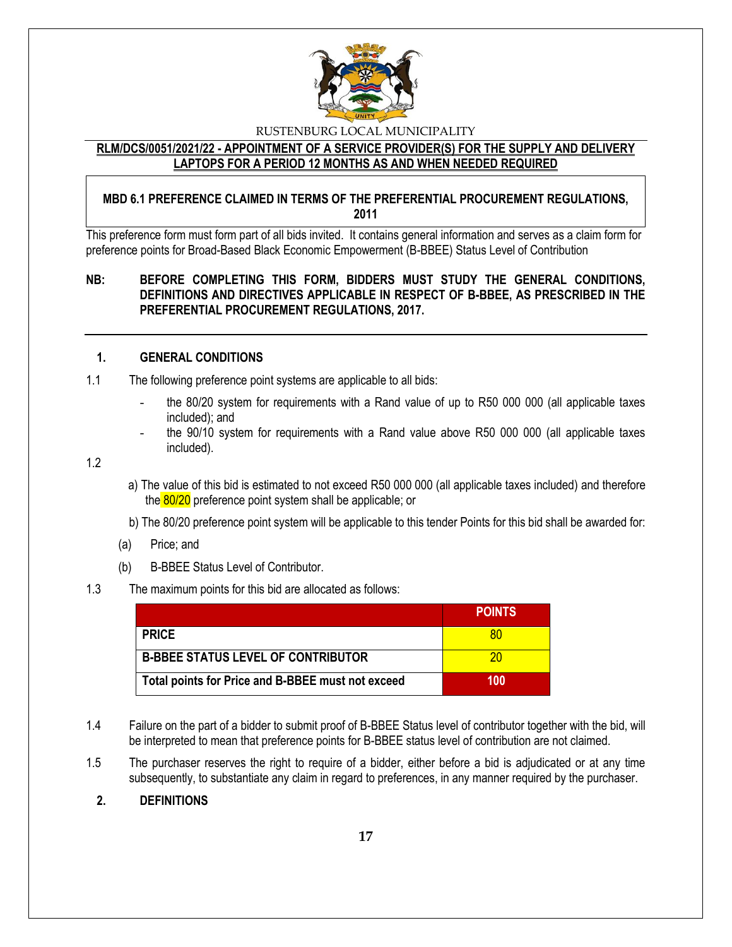

#### **RLM/DCS/0051/2021/22 - APPOINTMENT OF A SERVICE PROVIDER(S) FOR THE SUPPLY AND DELIVERY LAPTOPS FOR A PERIOD 12 MONTHS AS AND WHEN NEEDED REQUIRED**

## **MBD 6.1 PREFERENCE CLAIMED IN TERMS OF THE PREFERENTIAL PROCUREMENT REGULATIONS, 2011**

This preference form must form part of all bids invited. It contains general information and serves as a claim form for preference points for Broad-Based Black Economic Empowerment (B-BBEE) Status Level of Contribution

## **NB: BEFORE COMPLETING THIS FORM, BIDDERS MUST STUDY THE GENERAL CONDITIONS, DEFINITIONS AND DIRECTIVES APPLICABLE IN RESPECT OF B-BBEE, AS PRESCRIBED IN THE PREFERENTIAL PROCUREMENT REGULATIONS, 2017.**

#### **1. GENERAL CONDITIONS**

- 1.1 The following preference point systems are applicable to all bids:
	- the 80/20 system for requirements with a Rand value of up to R50 000 000 (all applicable taxes included); and
	- the 90/10 system for requirements with a Rand value above R50 000 000 (all applicable taxes included).

1.2

- a) The value of this bid is estimated to not exceed R50 000 000 (all applicable taxes included) and therefore the 80/20 preference point system shall be applicable; or
- b) The 80/20 preference point system will be applicable to this tender Points for this bid shall be awarded for:
- (a) Price; and
- (b) B-BBEE Status Level of Contributor.

#### 1.3 The maximum points for this bid are allocated as follows:

|                                                   | <b>POINTS</b> |
|---------------------------------------------------|---------------|
| <b>PRICE</b>                                      | 80            |
| <b>B-BBEE STATUS LEVEL OF CONTRIBUTOR</b>         | 20            |
| Total points for Price and B-BBEE must not exceed | 100           |

- 1.4 Failure on the part of a bidder to submit proof of B-BBEE Status level of contributor together with the bid, will be interpreted to mean that preference points for B-BBEE status level of contribution are not claimed.
- 1.5 The purchaser reserves the right to require of a bidder, either before a bid is adjudicated or at any time subsequently, to substantiate any claim in regard to preferences, in any manner required by the purchaser.

#### **2. DEFINITIONS**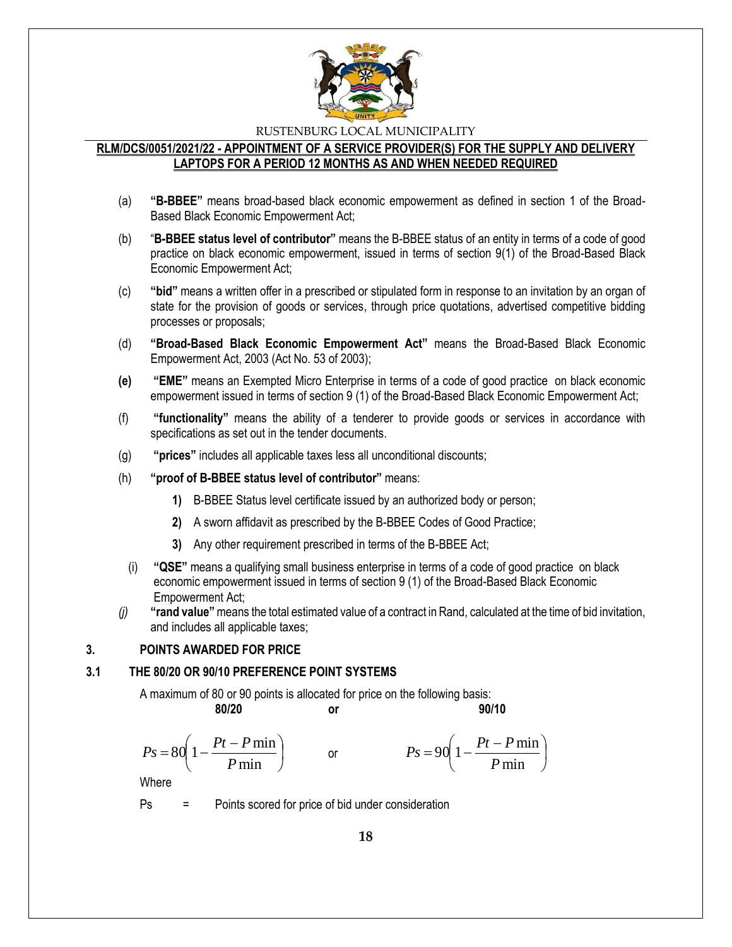

### **RLM/DCS/0051/2021/22 - APPOINTMENT OF A SERVICE PROVIDER(S) FOR THE SUPPLY AND DELIVERY LAPTOPS FOR A PERIOD 12 MONTHS AS AND WHEN NEEDED REQUIRED**

- (a) **"B-BBEE"** means broad-based black economic empowerment as defined in section 1 of the Broad-Based Black Economic Empowerment Act;
- (b) "**B-BBEE status level of contributor"** means the B-BBEE status of an entity in terms of a code of good practice on black economic empowerment, issued in terms of section 9(1) of the Broad-Based Black Economic Empowerment Act;
- (c) **"bid"** means a written offer in a prescribed or stipulated form in response to an invitation by an organ of state for the provision of goods or services, through price quotations, advertised competitive bidding processes or proposals;
- (d) **"Broad-Based Black Economic Empowerment Act"** means the Broad-Based Black Economic Empowerment Act, 2003 (Act No. 53 of 2003);
- **(e) "EME"** means an Exempted Micro Enterprise in terms of a code of good practice on black economic empowerment issued in terms of section 9 (1) of the Broad-Based Black Economic Empowerment Act;
- (f) **"functionality"** means the ability of a tenderer to provide goods or services in accordance with specifications as set out in the tender documents.
- (g) **"prices"** includes all applicable taxes less all unconditional discounts;
- (h) **"proof of B-BBEE status level of contributor"** means:
	- **1)** B-BBEE Status level certificate issued by an authorized body or person;
	- **2)** A sworn affidavit as prescribed by the B-BBEE Codes of Good Practice;
	- **3)** Any other requirement prescribed in terms of the B-BBEE Act;
	- (i) **"QSE"** means a qualifying small business enterprise in terms of a code of good practice on black economic empowerment issued in terms of section 9 (1) of the Broad-Based Black Economic Empowerment Act;
- *(j)* **"rand value"**means the total estimated value of a contract in Rand, calculated at the time of bid invitation, and includes all applicable taxes;

#### **3. POINTS AWARDED FOR PRICE**

#### **3.1 THE 80/20 OR 90/10 PREFERENCE POINT SYSTEMS**

A maximum of 80 or 90 points is allocated for price on the following basis:

or

**80/20 or 90/10**

I

$$
Ps = 80 \left( 1 - \frac{Pt - P \min}{P \min} \right)
$$

$$
Ps = 90\left(1 - \frac{Pt - P\min P}{\min}\right)
$$

Where

Ps = Points scored for price of bid under consideration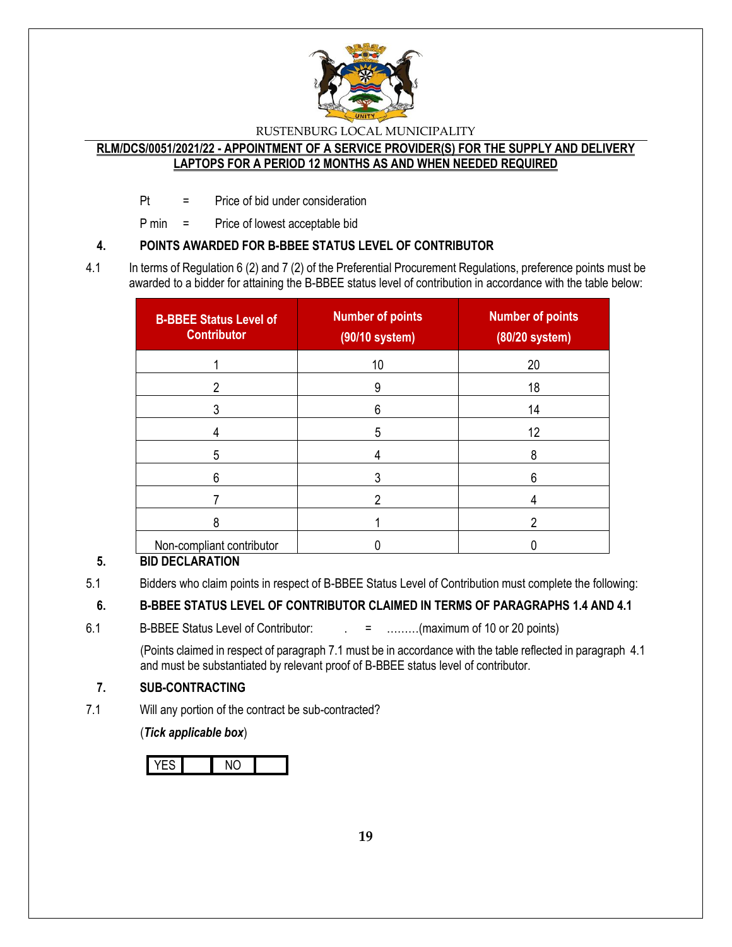

## **RLM/DCS/0051/2021/22 - APPOINTMENT OF A SERVICE PROVIDER(S) FOR THE SUPPLY AND DELIVERY LAPTOPS FOR A PERIOD 12 MONTHS AS AND WHEN NEEDED REQUIRED**

Pt = Price of bid under consideration

P min = Price of lowest acceptable bid

## **4. POINTS AWARDED FOR B-BBEE STATUS LEVEL OF CONTRIBUTOR**

4.1 In terms of Regulation 6 (2) and 7 (2) of the Preferential Procurement Regulations, preference points must be awarded to a bidder for attaining the B-BBEE status level of contribution in accordance with the table below:

| <b>B-BBEE Status Level of</b><br><b>Contributor</b> | <b>Number of points</b><br>(90/10 system) | <b>Number of points</b><br>(80/20 system) |
|-----------------------------------------------------|-------------------------------------------|-------------------------------------------|
|                                                     | 10                                        | 20                                        |
|                                                     | 9                                         | 18                                        |
|                                                     | 6                                         | 14                                        |
|                                                     | 5                                         | 12                                        |
| 5                                                   |                                           | 8                                         |
| 6                                                   |                                           | 6                                         |
|                                                     |                                           |                                           |
| ጸ                                                   |                                           | າ                                         |
| Non-compliant contributor                           |                                           |                                           |

## **5. BID DECLARATION**

5.1 Bidders who claim points in respect of B-BBEE Status Level of Contribution must complete the following:

## **6. B-BBEE STATUS LEVEL OF CONTRIBUTOR CLAIMED IN TERMS OF PARAGRAPHS 1.4 AND 4.1**

6.1 B-BBEE Status Level of Contributor:  $\qquad \qquad = \qquad \qquad \dots \dots \dots (maximum of 10 or 20 points)$ 

(Points claimed in respect of paragraph 7.1 must be in accordance with the table reflected in paragraph 4.1 and must be substantiated by relevant proof of B-BBEE status level of contributor.

## **7. SUB-CONTRACTING**

7.1 Will any portion of the contract be sub-contracted?

(*Tick applicable box*)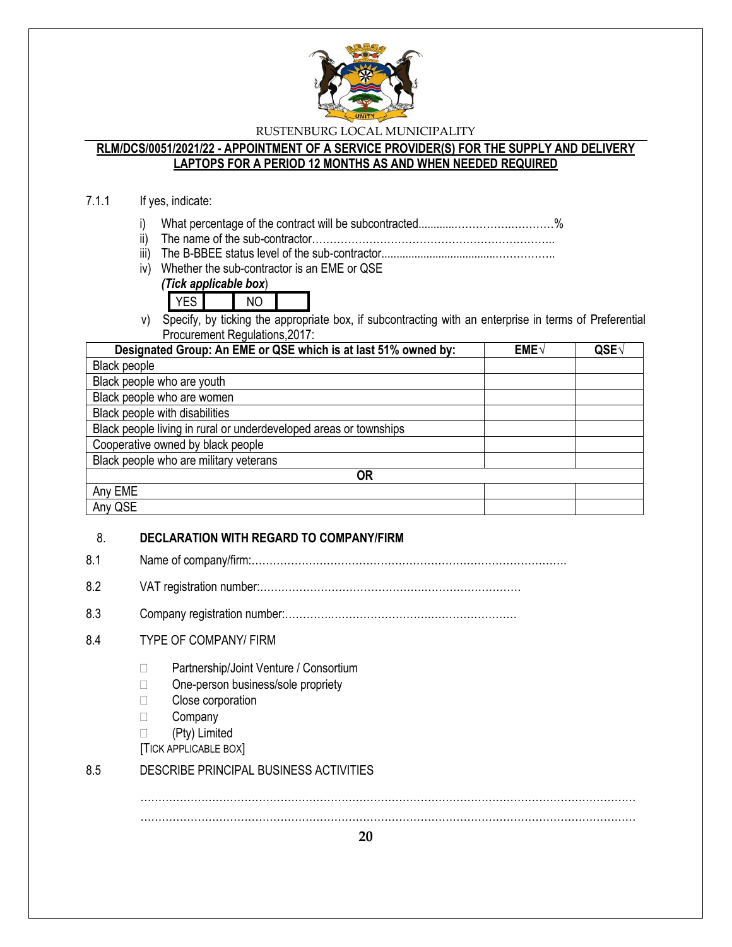

### **RLM/DCS/0051/2021/22 - APPOINTMENT OF A SERVICE PROVIDER(S) FOR THE SUPPLY AND DELIVERY LAPTOPS FOR A PERIOD 12 MONTHS AS AND WHEN NEEDED REQUIRED**

### 7.1.1 If yes, indicate:

- i) What percentage of the contract will be subcontracted............…………….…………%
- ii) The name of the sub-contractor…………………………………………………………..
- iii) The B-BBEE status level of the sub-contractor......................................……………..
- iv) Whether the sub-contractor is an EME or QSE

## *(Tick applicable box*)

- YES NO
- v) Specify, by ticking the appropriate box, if subcontracting with an enterprise in terms of Preferential Procurement Regulations,2017:

| Designated Group: An EME or QSE which is at last 51% owned by:    | EME√ | QSE <sub>V</sub> |  |
|-------------------------------------------------------------------|------|------------------|--|
| Black people                                                      |      |                  |  |
| Black people who are youth                                        |      |                  |  |
| Black people who are women                                        |      |                  |  |
| Black people with disabilities                                    |      |                  |  |
| Black people living in rural or underdeveloped areas or townships |      |                  |  |
| Cooperative owned by black people                                 |      |                  |  |
| Black people who are military veterans                            |      |                  |  |
| <b>OR</b>                                                         |      |                  |  |
| Any EME                                                           |      |                  |  |
| Any QSE                                                           |      |                  |  |

## 8. **DECLARATION WITH REGARD TO COMPANY/FIRM**

- 8.1 Name of company/firm:…………………………………………………………………………….
- 8.2 VAT registration number:……………………………………….………………………
- 8.3 Company registration number:………….……………………….……………………

## 8.4 TYPE OF COMPANY/ FIRM

- □ Partnership/Joint Venture / Consortium
- □ One-person business/sole propriety
- **Close corporation**
- □ Company
- (Pty) Limited
- [TICK APPLICABLE BOX]

## 8.5 DESCRIBE PRINCIPAL BUSINESS ACTIVITIES

………………………………………………………………………………………………………………………… …………………………………………………………………………………………………………………………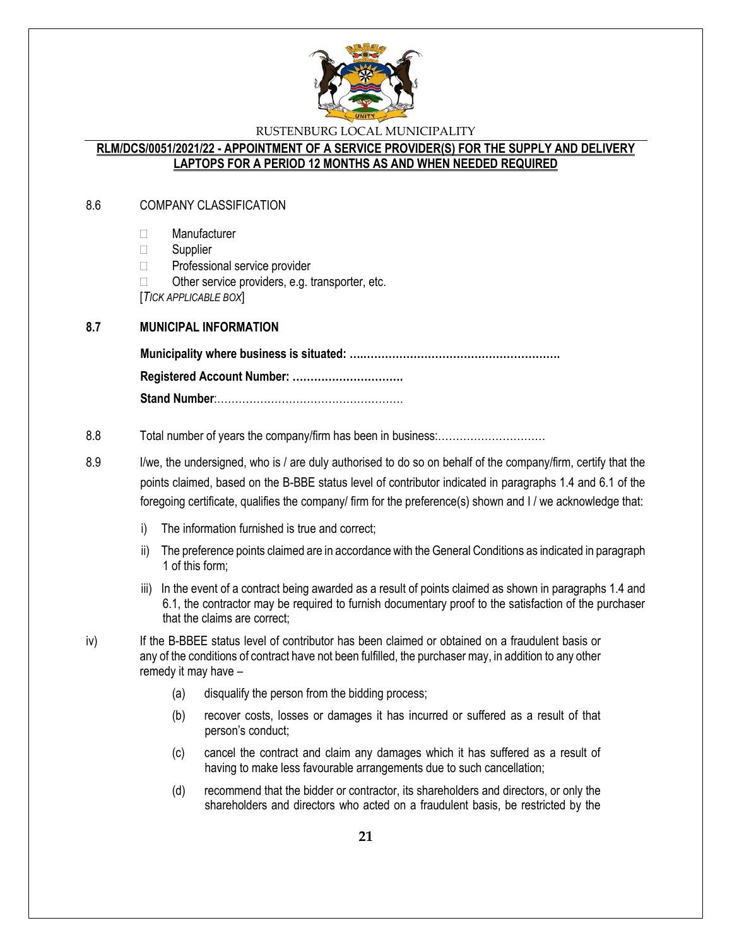

## **RLM/DCS/0051/2021/22 - APPOINTMENT OF A SERVICE PROVIDER(S) FOR THE SUPPLY AND DELIVERY LAPTOPS FOR A PERIOD 12 MONTHS AS AND WHEN NEEDED REQUIRED**

### 8.6 COMPANY CLASSIFICATION

- Manufacturer
- $\Box$  Supplier
- □ Professional service provider
- $\Box$  Other service providers, e.g. transporter, etc.

[*TICK APPLICABLE BOX*]

#### **8.7 MUNICIPAL INFORMATION**

**Municipality where business is situated: ….………………………………………………. Registered Account Number: …………………………. Stand Number**:…………………………………………….

#### 8.8 Total number of years the company/firm has been in business:…………………………

- 8.9 I/we, the undersigned, who is / are duly authorised to do so on behalf of the company/firm, certify that the points claimed, based on the B-BBE status level of contributor indicated in paragraphs 1.4 and 6.1 of the foregoing certificate, qualifies the company/ firm for the preference(s) shown and I / we acknowledge that:
	- i) The information furnished is true and correct;
	- ii) The preference points claimed are in accordance with the General Conditions as indicated in paragraph 1 of this form;
	- iii) In the event of a contract being awarded as a result of points claimed as shown in paragraphs 1.4 and 6.1, the contractor may be required to furnish documentary proof to the satisfaction of the purchaser that the claims are correct;
- iv) If the B-BBEE status level of contributor has been claimed or obtained on a fraudulent basis or any of the conditions of contract have not been fulfilled, the purchaser may, in addition to any other remedy it may have –
	- (a) disqualify the person from the bidding process;
	- (b) recover costs, losses or damages it has incurred or suffered as a result of that person's conduct;
	- (c) cancel the contract and claim any damages which it has suffered as a result of having to make less favourable arrangements due to such cancellation;
	- (d) recommend that the bidder or contractor, its shareholders and directors, or only the shareholders and directors who acted on a fraudulent basis, be restricted by the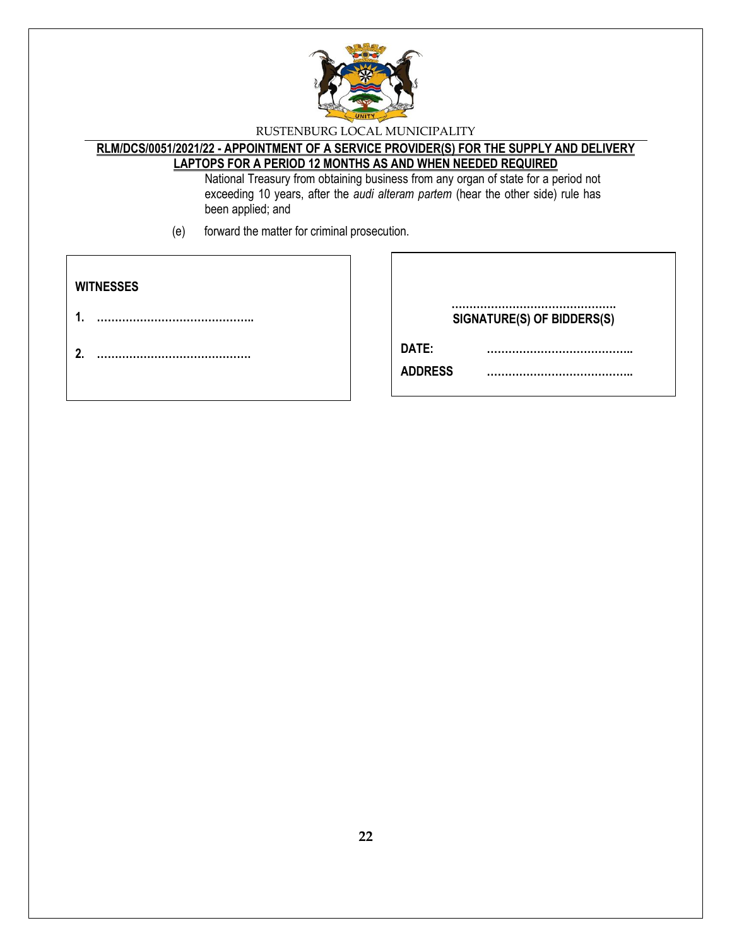

## **RLM/DCS/0051/2021/22 - APPOINTMENT OF A SERVICE PROVIDER(S) FOR THE SUPPLY AND DELIVERY LAPTOPS FOR A PERIOD 12 MONTHS AS AND WHEN NEEDED REQUIRED**

National Treasury from obtaining business from any organ of state for a period not exceeding 10 years, after the *audi alteram partem* (hear the other side) rule has been applied; and

(e) forward the matter for criminal prosecution.

| <b>WITNESSES</b> |                             |
|------------------|-----------------------------|
|                  | SIGNATURE(S) OF BIDDERS(S)  |
| ົ                | DATE:<br><b>ADDRESS</b><br> |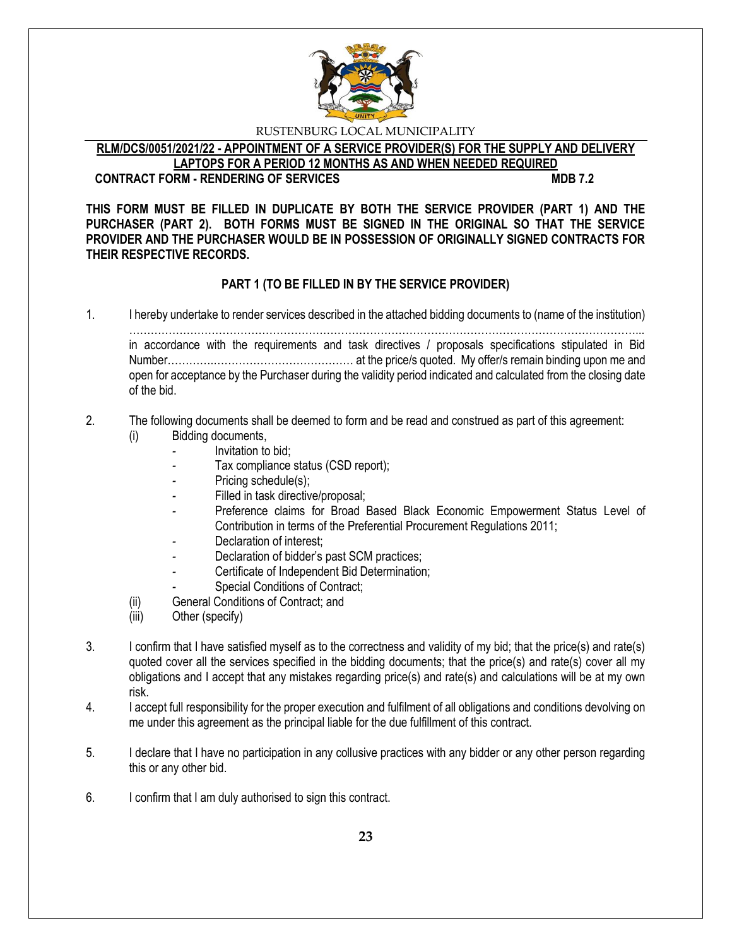

**RLM/DCS/0051/2021/22 - APPOINTMENT OF A SERVICE PROVIDER(S) FOR THE SUPPLY AND DELIVERY LAPTOPS FOR A PERIOD 12 MONTHS AS AND WHEN NEEDED REQUIRED**

## **CONTRACT FORM - RENDERING OF SERVICES MDB 7.2**

**THIS FORM MUST BE FILLED IN DUPLICATE BY BOTH THE SERVICE PROVIDER (PART 1) AND THE PURCHASER (PART 2). BOTH FORMS MUST BE SIGNED IN THE ORIGINAL SO THAT THE SERVICE PROVIDER AND THE PURCHASER WOULD BE IN POSSESSION OF ORIGINALLY SIGNED CONTRACTS FOR THEIR RESPECTIVE RECORDS.**

## **PART 1 (TO BE FILLED IN BY THE SERVICE PROVIDER)**

1. I hereby undertake to render services described in the attached bidding documents to (name of the institution)

……………………………………………………………………………………………………………………………... in accordance with the requirements and task directives / proposals specifications stipulated in Bid Number………….………………………………… at the price/s quoted. My offer/s remain binding upon me and open for acceptance by the Purchaser during the validity period indicated and calculated from the closing date of the bid.

## 2. The following documents shall be deemed to form and be read and construed as part of this agreement:

- (i) Bidding documents,
	- *-* Invitation to bid;
		- *-* Tax compliance status (CSD report);
	- Pricing schedule(s);
	- Filled in task directive/proposal;
	- Preference claims for Broad Based Black Economic Empowerment Status Level of Contribution in terms of the Preferential Procurement Regulations 2011;
	- *-* Declaration of interest;
	- *-* Declaration of bidder's past SCM practices;
	- *-* Certificate of Independent Bid Determination;
	- *-* Special Conditions of Contract;
- (ii) General Conditions of Contract; and
- (iii) Other (specify)
- 3. I confirm that I have satisfied myself as to the correctness and validity of my bid; that the price(s) and rate(s) quoted cover all the services specified in the bidding documents; that the price(s) and rate(s) cover all my obligations and I accept that any mistakes regarding price(s) and rate(s) and calculations will be at my own risk.
- 4. I accept full responsibility for the proper execution and fulfilment of all obligations and conditions devolving on me under this agreement as the principal liable for the due fulfillment of this contract.
- 5. I declare that I have no participation in any collusive practices with any bidder or any other person regarding this or any other bid.
- 6. I confirm that I am duly authorised to sign this contract.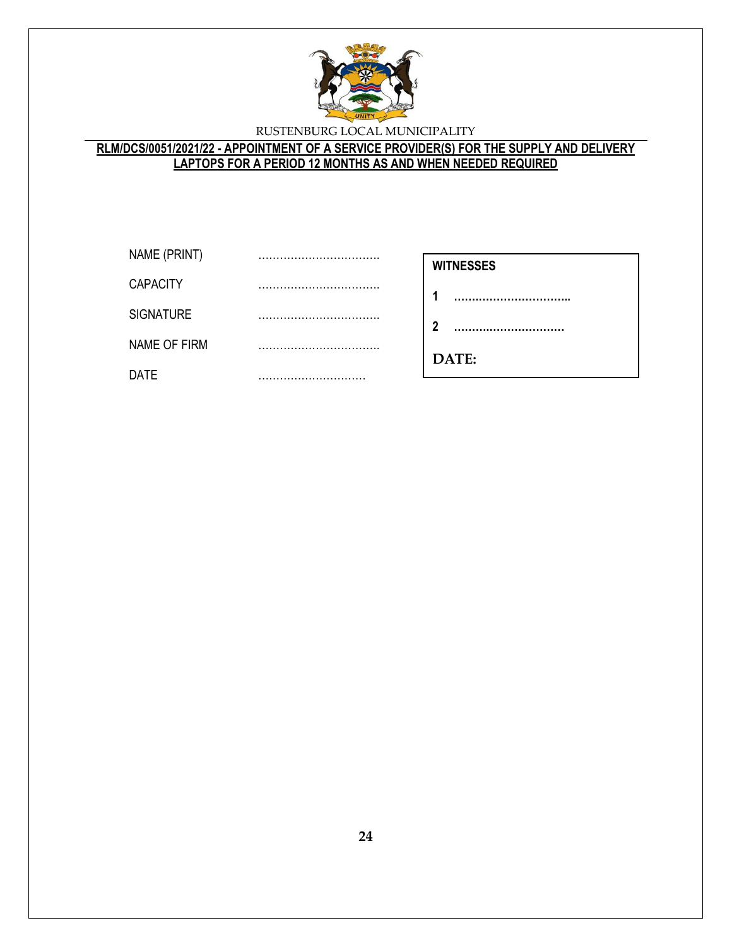

## **RLM/DCS/0051/2021/22 - APPOINTMENT OF A SERVICE PROVIDER(S) FOR THE SUPPLY AND DELIVERY LAPTOPS FOR A PERIOD 12 MONTHS AS AND WHEN NEEDED REQUIRED**

| NAME (PRINT)     |  |
|------------------|--|
| <b>CAPACITY</b>  |  |
| <b>SIGNATURE</b> |  |
| NAME OF FIRM     |  |
| DATE             |  |

- **1 …….……………………..**
- **2 ……….…………………**

**………………………**

**DATE:**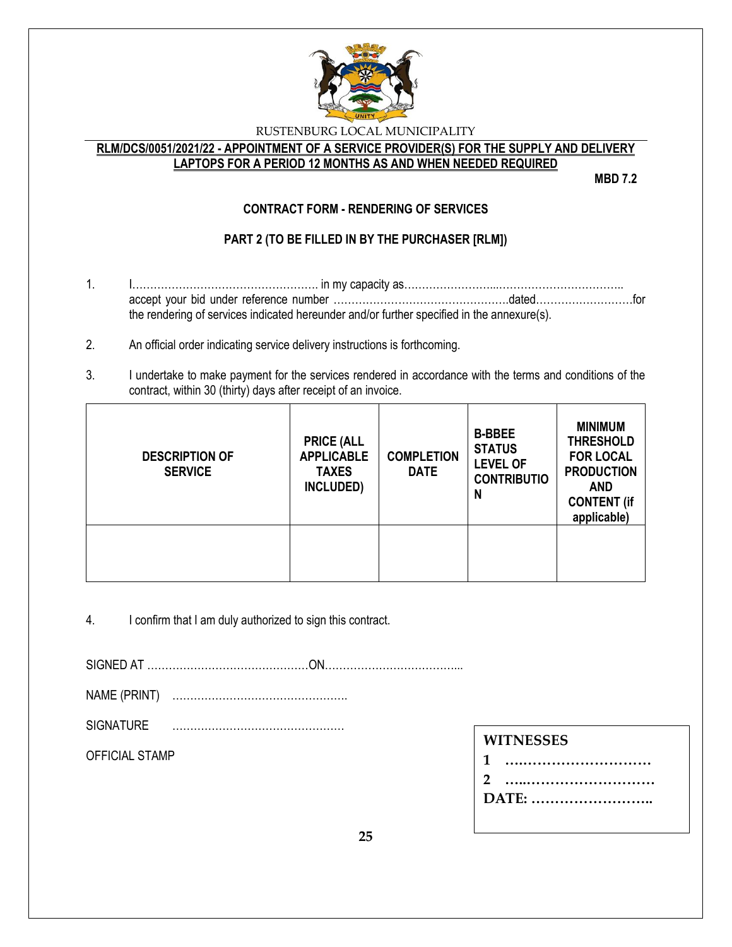

### **RLM/DCS/0051/2021/22 - APPOINTMENT OF A SERVICE PROVIDER(S) FOR THE SUPPLY AND DELIVERY LAPTOPS FOR A PERIOD 12 MONTHS AS AND WHEN NEEDED REQUIRED**

**MBD 7.2**

## **CONTRACT FORM - RENDERING OF SERVICES**

## **PART 2 (TO BE FILLED IN BY THE PURCHASER [RLM])**

- 1. I……………………………………………. in my capacity as……………………...…………………………….. accept your bid under reference number ………………………………………….dated………………………for the rendering of services indicated hereunder and/or further specified in the annexure(s).
- 2. An official order indicating service delivery instructions is forthcoming.
- 3. I undertake to make payment for the services rendered in accordance with the terms and conditions of the contract, within 30 (thirty) days after receipt of an invoice.

| <b>DESCRIPTION OF</b><br><b>SERVICE</b> | <b>PRICE (ALL</b><br><b>APPLICABLE</b><br><b>TAXES</b><br>INCLUDED) | <b>COMPLETION</b><br><b>DATE</b> | <b>B-BBEE</b><br><b>STATUS</b><br><b>LEVEL OF</b><br><b>CONTRIBUTIO</b><br>N | <b>MINIMUM</b><br><b>THRESHOLD</b><br><b>FOR LOCAL</b><br><b>PRODUCTION</b><br><b>AND</b><br><b>CONTENT (if</b><br>applicable) |
|-----------------------------------------|---------------------------------------------------------------------|----------------------------------|------------------------------------------------------------------------------|--------------------------------------------------------------------------------------------------------------------------------|
|                                         |                                                                     |                                  |                                                                              |                                                                                                                                |

4. I confirm that I am duly authorized to sign this contract.

SIGNED AT ………………………………………ON………………………………...

- NAME (PRINT) ………………………………………….
- SIGNATURE …………………………………………

OFFICIAL STAMP

**DATE: ……………………..**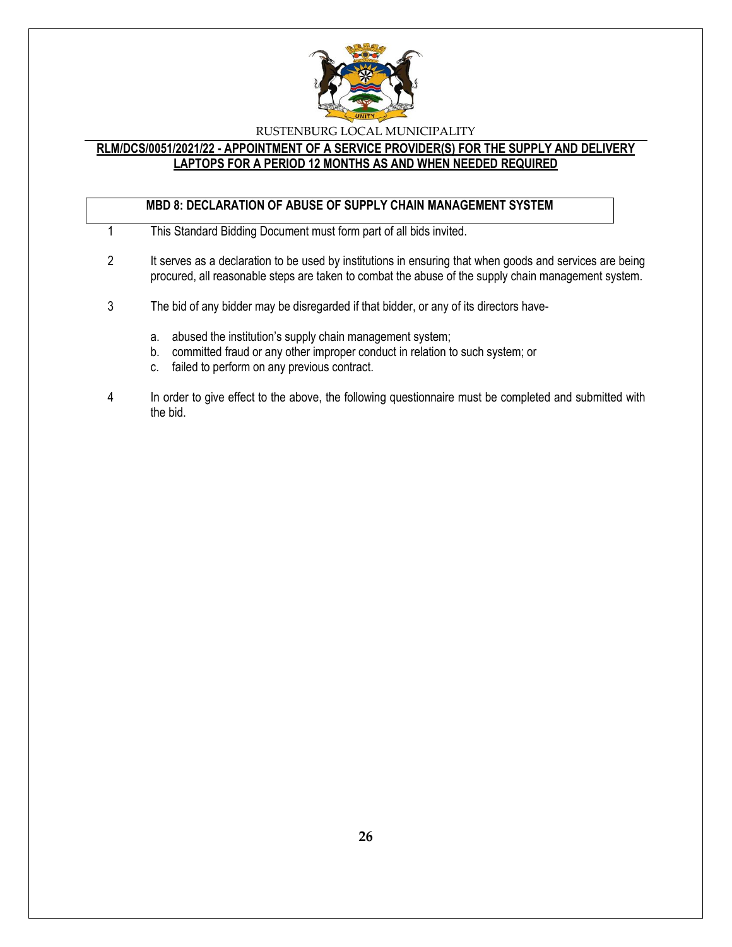

### **RLM/DCS/0051/2021/22 - APPOINTMENT OF A SERVICE PROVIDER(S) FOR THE SUPPLY AND DELIVERY LAPTOPS FOR A PERIOD 12 MONTHS AS AND WHEN NEEDED REQUIRED**

## **MBD 8: DECLARATION OF ABUSE OF SUPPLY CHAIN MANAGEMENT SYSTEM**

- 1 This Standard Bidding Document must form part of all bids invited.
- 2 It serves as a declaration to be used by institutions in ensuring that when goods and services are being procured, all reasonable steps are taken to combat the abuse of the supply chain management system.
- 3 The bid of any bidder may be disregarded if that bidder, or any of its directors have
	- a. abused the institution's supply chain management system;
	- b. committed fraud or any other improper conduct in relation to such system; or
	- c. failed to perform on any previous contract.
- 4 In order to give effect to the above, the following questionnaire must be completed and submitted with the bid.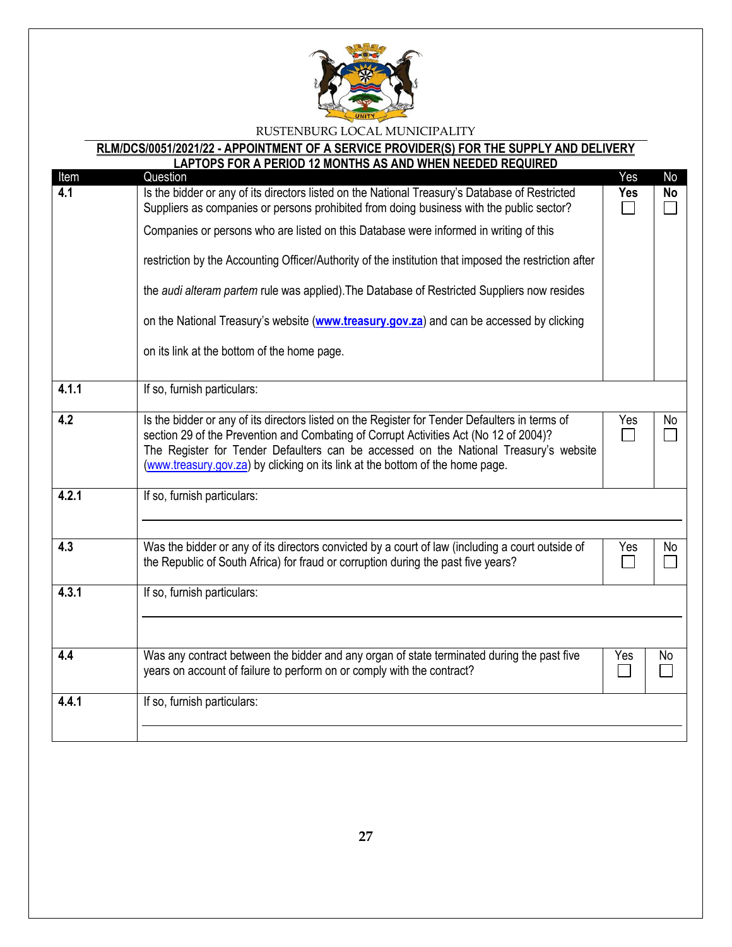

# **RLM/DCS/0051/2021/22 - APPOINTMENT OF A SERVICE PROVIDER(S) FOR THE SUPPLY AND DELIVERY**

|             | <b>LAPTOPS FOR A PERIOD 12 MONTHS AS AND WHEN NEEDED REQUIRED</b>                                                                                                                                                                                                                                                                                                                                                                                                                                                                                                                                   |                   |                 |
|-------------|-----------------------------------------------------------------------------------------------------------------------------------------------------------------------------------------------------------------------------------------------------------------------------------------------------------------------------------------------------------------------------------------------------------------------------------------------------------------------------------------------------------------------------------------------------------------------------------------------------|-------------------|-----------------|
| Item<br>4.1 | Question<br>Is the bidder or any of its directors listed on the National Treasury's Database of Restricted<br>Suppliers as companies or persons prohibited from doing business with the public sector?<br>Companies or persons who are listed on this Database were informed in writing of this<br>restriction by the Accounting Officer/Authority of the institution that imposed the restriction after<br>the audi alteram partem rule was applied). The Database of Restricted Suppliers now resides<br>on the National Treasury's website (www.treasury.gov.za) and can be accessed by clicking | Yes<br><b>Yes</b> | No<br><b>No</b> |
|             | on its link at the bottom of the home page.                                                                                                                                                                                                                                                                                                                                                                                                                                                                                                                                                         |                   |                 |
| 4.1.1       | If so, furnish particulars:                                                                                                                                                                                                                                                                                                                                                                                                                                                                                                                                                                         |                   |                 |
| 4.2         | Is the bidder or any of its directors listed on the Register for Tender Defaulters in terms of<br>section 29 of the Prevention and Combating of Corrupt Activities Act (No 12 of 2004)?<br>The Register for Tender Defaulters can be accessed on the National Treasury's website<br>(www.treasury.gov.za) by clicking on its link at the bottom of the home page.                                                                                                                                                                                                                                   | Yes               | No              |
| 4.2.1       | If so, furnish particulars:                                                                                                                                                                                                                                                                                                                                                                                                                                                                                                                                                                         |                   |                 |
| 4.3         | Was the bidder or any of its directors convicted by a court of law (including a court outside of<br>the Republic of South Africa) for fraud or corruption during the past five years?                                                                                                                                                                                                                                                                                                                                                                                                               | Yes               | No.             |
| 4.3.1       | If so, furnish particulars:                                                                                                                                                                                                                                                                                                                                                                                                                                                                                                                                                                         |                   |                 |
| 4.4         | Was any contract between the bidder and any organ of state terminated during the past five<br>years on account of failure to perform on or comply with the contract?                                                                                                                                                                                                                                                                                                                                                                                                                                | Yes               | No              |
| 4.4.1       | If so, furnish particulars:                                                                                                                                                                                                                                                                                                                                                                                                                                                                                                                                                                         |                   |                 |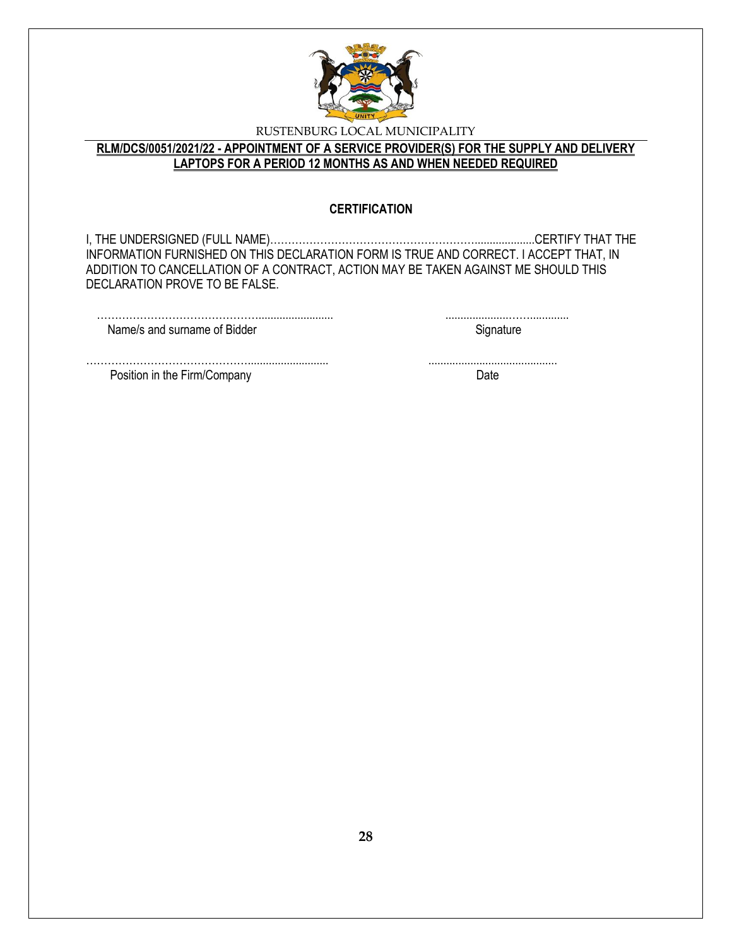

## **RLM/DCS/0051/2021/22 - APPOINTMENT OF A SERVICE PROVIDER(S) FOR THE SUPPLY AND DELIVERY LAPTOPS FOR A PERIOD 12 MONTHS AS AND WHEN NEEDED REQUIRED**

### **CERTIFICATION**

I, THE UNDERSIGNED (FULL NAME)…………………………………………………....................CERTIFY THAT THE INFORMATION FURNISHED ON THIS DECLARATION FORM IS TRUE AND CORRECT. I ACCEPT THAT, IN ADDITION TO CANCELLATION OF A CONTRACT, ACTION MAY BE TAKEN AGAINST ME SHOULD THIS DECLARATION PROVE TO BE FALSE.

| Name/s and surname of Bidder |  |
|------------------------------|--|

………………………………………........................... ........................................... Position in the Firm/Company Date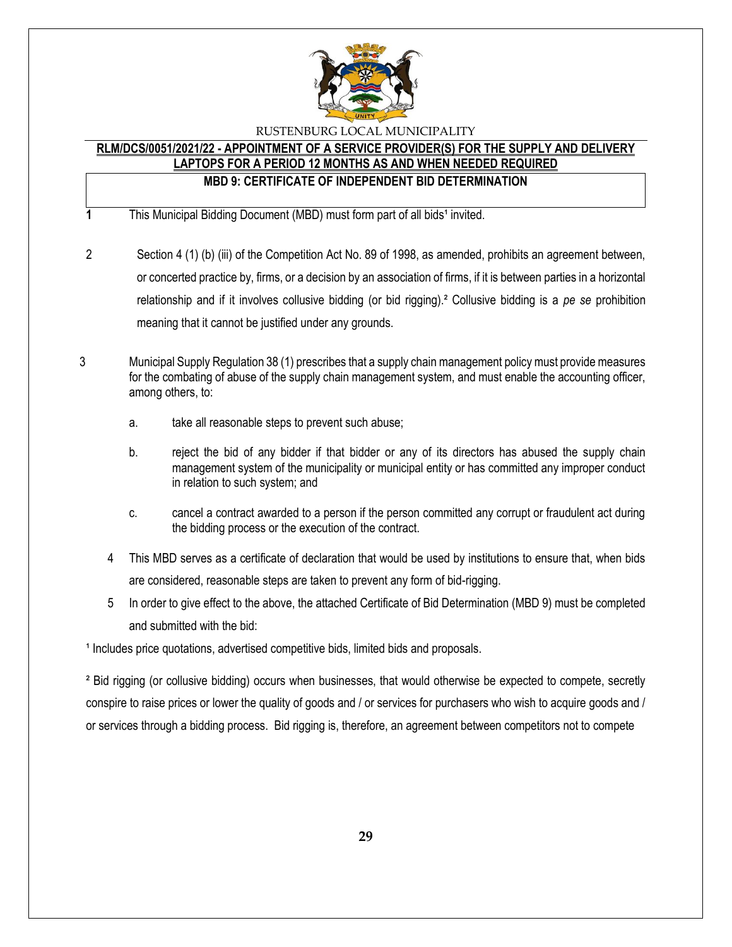

#### **RLM/DCS/0051/2021/22 - APPOINTMENT OF A SERVICE PROVIDER(S) FOR THE SUPPLY AND DELIVERY LAPTOPS FOR A PERIOD 12 MONTHS AS AND WHEN NEEDED REQUIRED**

## **MBD 9: CERTIFICATE OF INDEPENDENT BID DETERMINATION**

**1** This Municipal Bidding Document (MBD) must form part of all bids<sup>1</sup> invited.

- 2 Section 4 (1) (b) (iii) of the Competition Act No. 89 of 1998, as amended, prohibits an agreement between, or concerted practice by, firms, or a decision by an association of firms, if it is between parties in a horizontal relationship and if it involves collusive bidding (or bid rigging).² Collusive bidding is a *pe se* prohibition meaning that it cannot be justified under any grounds.
- 3 Municipal Supply Regulation 38 (1) prescribes that a supply chain management policy must provide measures for the combating of abuse of the supply chain management system, and must enable the accounting officer, among others, to:
	- a. take all reasonable steps to prevent such abuse;
	- b. reject the bid of any bidder if that bidder or any of its directors has abused the supply chain management system of the municipality or municipal entity or has committed any improper conduct in relation to such system; and
	- c. cancel a contract awarded to a person if the person committed any corrupt or fraudulent act during the bidding process or the execution of the contract.
	- 4 This MBD serves as a certificate of declaration that would be used by institutions to ensure that, when bids are considered, reasonable steps are taken to prevent any form of bid-rigging.
	- 5 In order to give effect to the above, the attached Certificate of Bid Determination (MBD 9) must be completed and submitted with the bid:

<sup>1</sup> Includes price quotations, advertised competitive bids, limited bids and proposals.

² Bid rigging (or collusive bidding) occurs when businesses, that would otherwise be expected to compete, secretly conspire to raise prices or lower the quality of goods and / or services for purchasers who wish to acquire goods and / or services through a bidding process. Bid rigging is, therefore, an agreement between competitors not to compete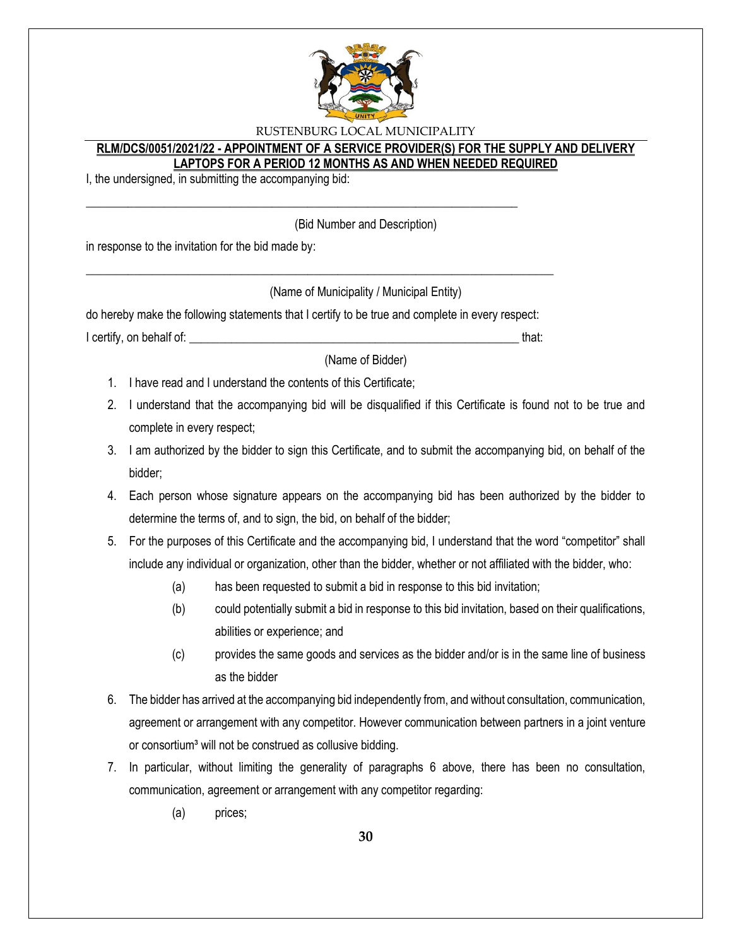

### **RLM/DCS/0051/2021/22 - APPOINTMENT OF A SERVICE PROVIDER(S) FOR THE SUPPLY AND DELIVERY LAPTOPS FOR A PERIOD 12 MONTHS AS AND WHEN NEEDED REQUIRED**

I, the undersigned, in submitting the accompanying bid:

(Bid Number and Description)

in response to the invitation for the bid made by:

(Name of Municipality / Municipal Entity)

do hereby make the following statements that I certify to be true and complete in every respect: I certify, on behalf of: that:  $\blacksquare$ 

\_\_\_\_\_\_\_\_\_\_\_\_\_\_\_\_\_\_\_\_\_\_\_\_\_\_\_\_\_\_\_\_\_\_\_\_\_\_\_\_\_\_\_\_\_\_\_\_\_\_\_\_\_\_\_\_\_\_\_\_\_\_\_\_\_\_\_\_\_\_\_\_\_\_\_\_\_\_

\_\_\_\_\_\_\_\_\_\_\_\_\_\_\_\_\_\_\_\_\_\_\_\_\_\_\_\_\_\_\_\_\_\_\_\_\_\_\_\_\_\_\_\_\_\_\_\_\_\_\_\_\_\_\_\_\_\_\_\_\_\_\_\_\_\_\_\_\_\_\_\_

(Name of Bidder)

- 1. I have read and I understand the contents of this Certificate;
- 2. I understand that the accompanying bid will be disqualified if this Certificate is found not to be true and complete in every respect;
- 3. I am authorized by the bidder to sign this Certificate, and to submit the accompanying bid, on behalf of the bidder;
- 4. Each person whose signature appears on the accompanying bid has been authorized by the bidder to determine the terms of, and to sign, the bid, on behalf of the bidder;
- 5. For the purposes of this Certificate and the accompanying bid, I understand that the word "competitor" shall include any individual or organization, other than the bidder, whether or not affiliated with the bidder, who:
	- (a) has been requested to submit a bid in response to this bid invitation;
	- (b) could potentially submit a bid in response to this bid invitation, based on their qualifications, abilities or experience; and
	- (c) provides the same goods and services as the bidder and/or is in the same line of business as the bidder
- 6. The bidder has arrived at the accompanying bid independently from, and without consultation, communication, agreement or arrangement with any competitor. However communication between partners in a joint venture or consortium<sup>3</sup> will not be construed as collusive bidding.
- 7. In particular, without limiting the generality of paragraphs 6 above, there has been no consultation, communication, agreement or arrangement with any competitor regarding:
	- (a) prices;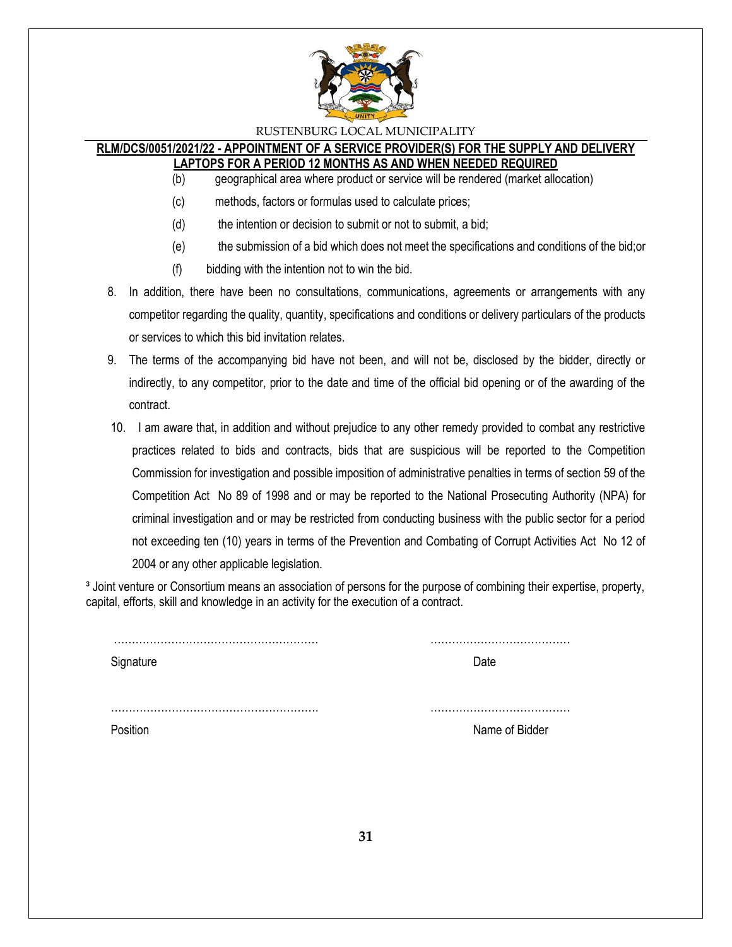

#### **RLM/DCS/0051/2021/22 - APPOINTMENT OF A SERVICE PROVIDER(S) FOR THE SUPPLY AND DELIVERY LAPTOPS FOR A PERIOD 12 MONTHS AS AND WHEN NEEDED REQUIRED**

- (b) geographical area where product or service will be rendered (market allocation)
- (c) methods, factors or formulas used to calculate prices;
- (d) the intention or decision to submit or not to submit, a bid;
- (e) the submission of a bid which does not meet the specifications and conditions of the bid;or
- (f) bidding with the intention not to win the bid.
- 8. In addition, there have been no consultations, communications, agreements or arrangements with any competitor regarding the quality, quantity, specifications and conditions or delivery particulars of the products or services to which this bid invitation relates.
- 9. The terms of the accompanying bid have not been, and will not be, disclosed by the bidder, directly or indirectly, to any competitor, prior to the date and time of the official bid opening or of the awarding of the contract.
- 10. I am aware that, in addition and without prejudice to any other remedy provided to combat any restrictive practices related to bids and contracts, bids that are suspicious will be reported to the Competition Commission for investigation and possible imposition of administrative penalties in terms of section 59 of the Competition Act No 89 of 1998 and or may be reported to the National Prosecuting Authority (NPA) for criminal investigation and or may be restricted from conducting business with the public sector for a period not exceeding ten (10) years in terms of the Prevention and Combating of Corrupt Activities Act No 12 of 2004 or any other applicable legislation.

<sup>3</sup> Joint venture or Consortium means an association of persons for the purpose of combining their expertise, property, capital, efforts, skill and knowledge in an activity for the execution of a contract.

| Signature | Date           |
|-----------|----------------|
|           |                |
|           |                |
|           |                |
| Position  | Name of Bidder |
|           |                |
|           |                |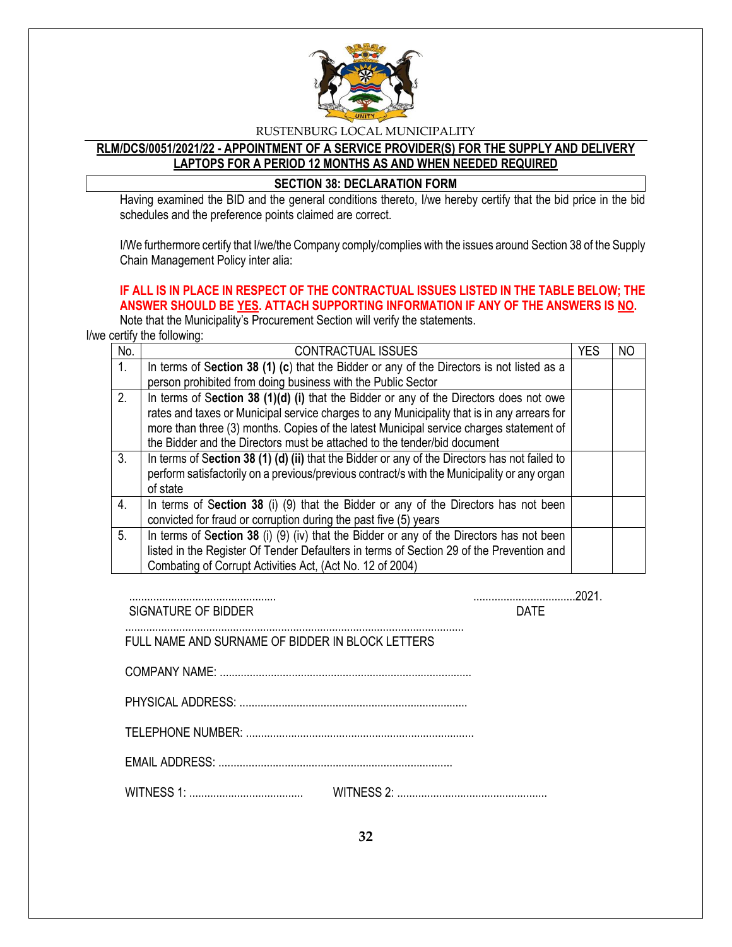

## **RLM/DCS/0051/2021/22 - APPOINTMENT OF A SERVICE PROVIDER(S) FOR THE SUPPLY AND DELIVERY LAPTOPS FOR A PERIOD 12 MONTHS AS AND WHEN NEEDED REQUIRED**

### **SECTION 38: DECLARATION FORM**

Having examined the BID and the general conditions thereto, I/we hereby certify that the bid price in the bid schedules and the preference points claimed are correct.

I/We furthermore certify that I/we/the Company comply/complies with the issues around Section 38 of the Supply Chain Management Policy inter alia:

## **IF ALL IS IN PLACE IN RESPECT OF THE CONTRACTUAL ISSUES LISTED IN THE TABLE BELOW; THE ANSWER SHOULD BE YES. ATTACH SUPPORTING INFORMATION IF ANY OF THE ANSWERS IS NO.**

Note that the Municipality's Procurement Section will verify the statements.

I/we certify the following:

| No. | <b>CONTRACTUAL ISSUES</b>                                                                     | <b>YES</b> | NO |
|-----|-----------------------------------------------------------------------------------------------|------------|----|
| 1.  | In terms of Section 38 (1) (c) that the Bidder or any of the Directors is not listed as a     |            |    |
|     | person prohibited from doing business with the Public Sector                                  |            |    |
| 2.  | In terms of Section 38 (1)(d) (i) that the Bidder or any of the Directors does not owe        |            |    |
|     | rates and taxes or Municipal service charges to any Municipality that is in any arrears for   |            |    |
|     | more than three (3) months. Copies of the latest Municipal service charges statement of       |            |    |
|     | the Bidder and the Directors must be attached to the tender/bid document                      |            |    |
| 3.  | In terms of Section 38 (1) (d) (ii) that the Bidder or any of the Directors has not failed to |            |    |
|     | perform satisfactorily on a previous/previous contract/s with the Municipality or any organ   |            |    |
|     | of state                                                                                      |            |    |
| 4.  | In terms of Section 38 (i) (9) that the Bidder or any of the Directors has not been           |            |    |
|     | convicted for fraud or corruption during the past five (5) years                              |            |    |
| 5.  | In terms of Section 38 (i) (9) (iv) that the Bidder or any of the Directors has not been      |            |    |
|     | listed in the Register Of Tender Defaulters in terms of Section 29 of the Prevention and      |            |    |
|     | Combating of Corrupt Activities Act, (Act No. 12 of 2004)                                     |            |    |

................................................. ..................................2021. SIGNATURE OF BIDDER DATE

FULL NAME AND SURNAME OF BIDDER IN BLOCK LETTERS

 COMPANY NAME: .................................................................................... PHYSICAL ADDRESS: ............................................................................

.................................................................................................................

TELEPHONE NUMBER: ............................................................................

EMAIL ADDRESS: ..............................................................................

WITNESS 1: ...................................... WITNESS 2: ..................................................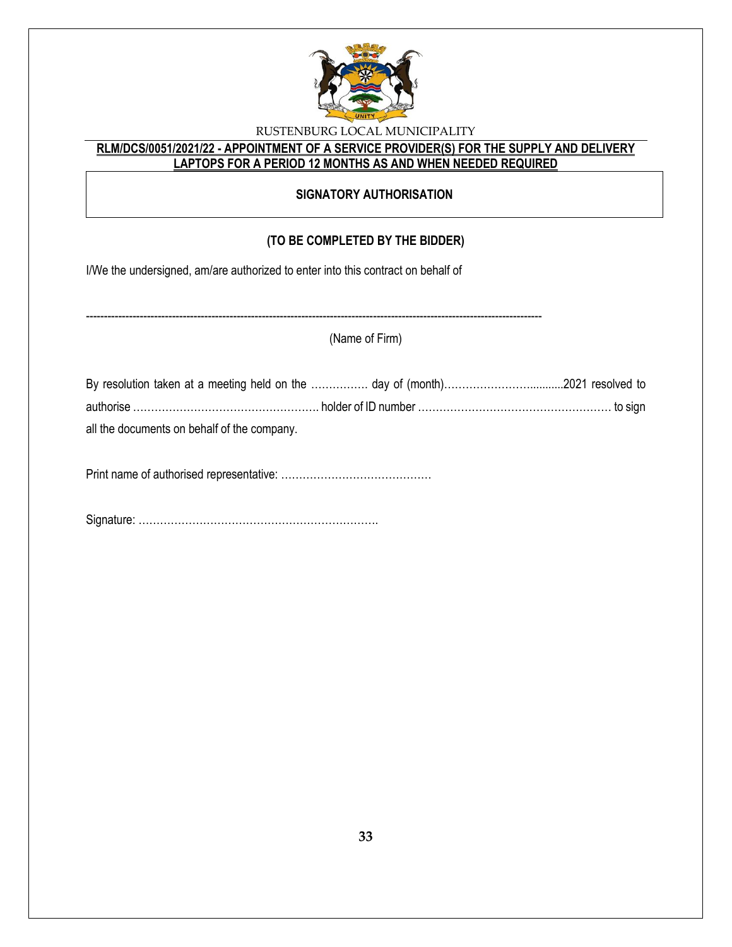

## **RLM/DCS/0051/2021/22 - APPOINTMENT OF A SERVICE PROVIDER(S) FOR THE SUPPLY AND DELIVERY LAPTOPS FOR A PERIOD 12 MONTHS AS AND WHEN NEEDED REQUIRED**

## **SIGNATORY AUTHORISATION**

## **(TO BE COMPLETED BY THE BIDDER)**

I/We the undersigned, am/are authorized to enter into this contract on behalf of

|                                             | (Name of Firm) |  |
|---------------------------------------------|----------------|--|
|                                             |                |  |
| all the documents on behalf of the company. |                |  |
|                                             |                |  |

Signature: ………………………………………………………….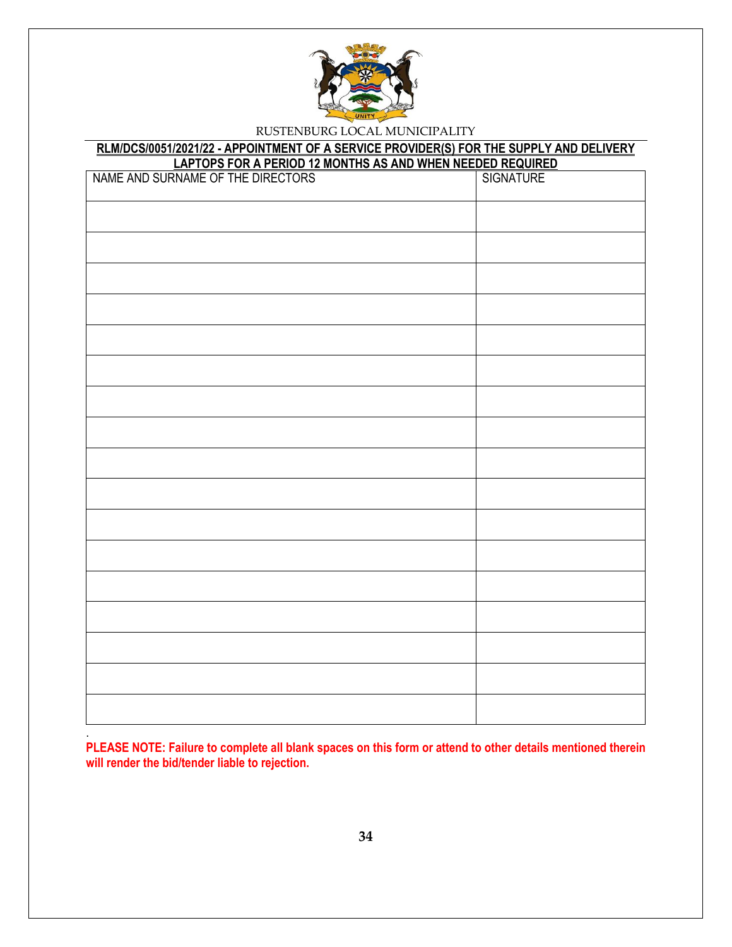

## **RLM/DCS/0051/2021/22 - APPOINTMENT OF A SERVICE PROVIDER(S) FOR THE SUPPLY AND DELIVERY**

**PLEASE NOTE: Failure to complete all blank spaces on this form or attend to other details mentioned therein will render the bid/tender liable to rejection.** 

.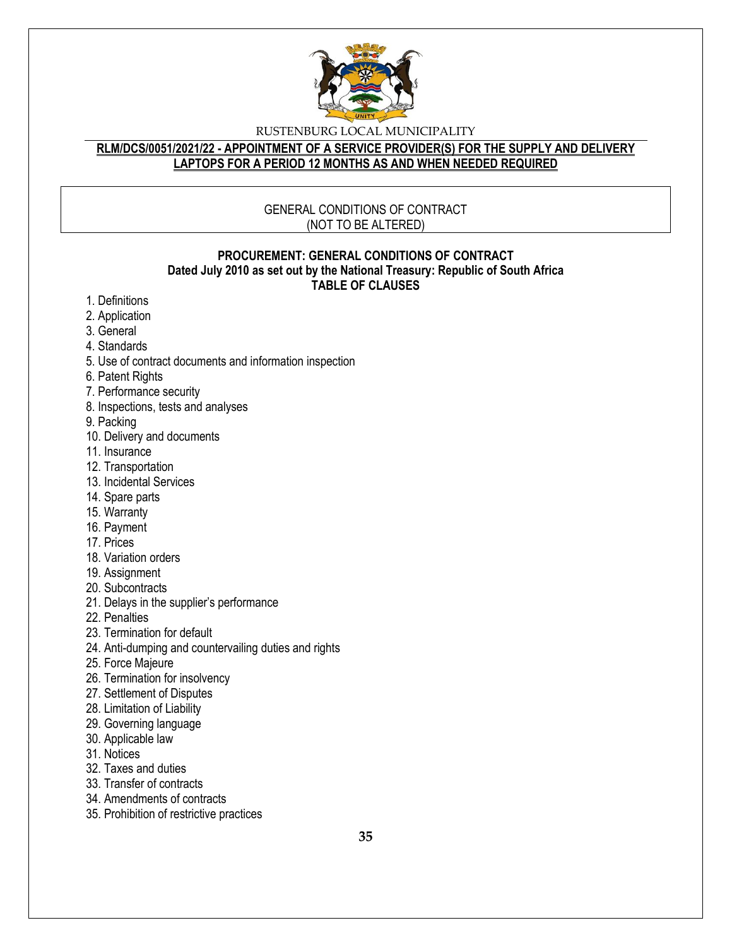

### **RLM/DCS/0051/2021/22 - APPOINTMENT OF A SERVICE PROVIDER(S) FOR THE SUPPLY AND DELIVERY LAPTOPS FOR A PERIOD 12 MONTHS AS AND WHEN NEEDED REQUIRED**

## GENERAL CONDITIONS OF CONTRACT (NOT TO BE ALTERED)

#### **PROCUREMENT: GENERAL CONDITIONS OF CONTRACT Dated July 2010 as set out by the National Treasury: Republic of South Africa TABLE OF CLAUSES**

- 1. Definitions
- 2. Application
- 3. General
- 4. Standards
- 5. Use of contract documents and information inspection
- 6. Patent Rights
- 7. Performance security
- 8. Inspections, tests and analyses
- 9. Packing
- 10. Delivery and documents
- 11. Insurance
- 12. Transportation
- 13. Incidental Services
- 14. Spare parts
- 15. Warranty
- 16. Payment
- 17. Prices
- 18. Variation orders
- 19. Assignment
- 20. Subcontracts
- 21. Delays in the supplier's performance
- 22. Penalties
- 23. Termination for default
- 24. Anti-dumping and countervailing duties and rights
- 25. Force Majeure
- 26. Termination for insolvency
- 27. Settlement of Disputes
- 28. Limitation of Liability
- 29. Governing language
- 30. Applicable law
- 31. Notices
- 32. Taxes and duties
- 33. Transfer of contracts
- 34. Amendments of contracts
- 35. Prohibition of restrictive practices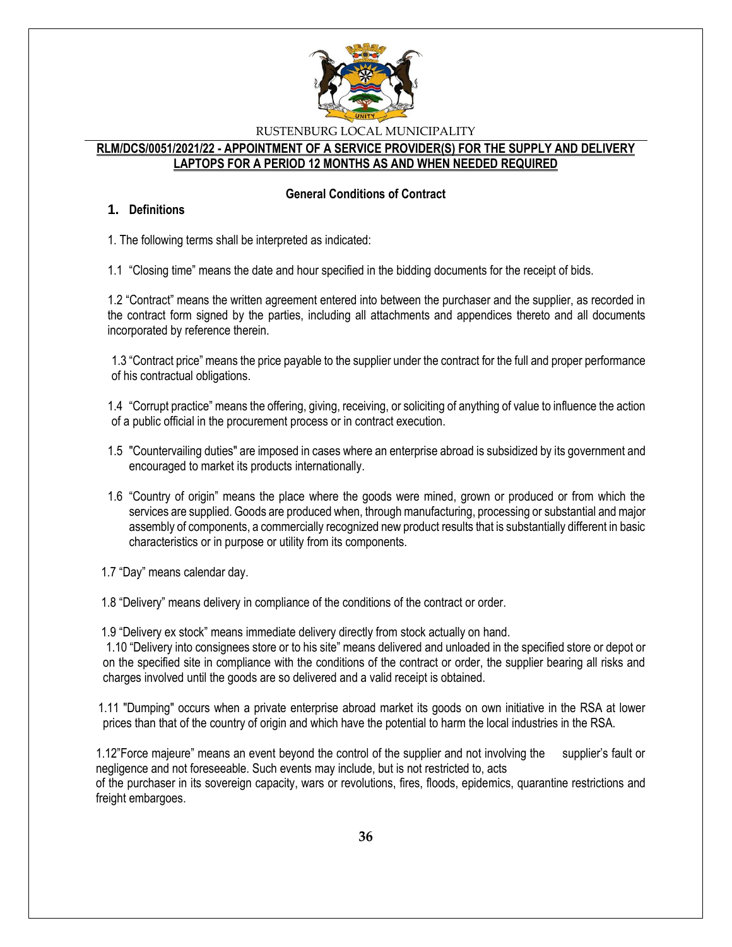

#### **RLM/DCS/0051/2021/22 - APPOINTMENT OF A SERVICE PROVIDER(S) FOR THE SUPPLY AND DELIVERY LAPTOPS FOR A PERIOD 12 MONTHS AS AND WHEN NEEDED REQUIRED**

### **General Conditions of Contract**

#### **1. Definitions**

1. The following terms shall be interpreted as indicated:

1.1 "Closing time" means the date and hour specified in the bidding documents for the receipt of bids.

1.2 "Contract" means the written agreement entered into between the purchaser and the supplier, as recorded in the contract form signed by the parties, including all attachments and appendices thereto and all documents incorporated by reference therein.

1.3 "Contract price" means the price payable to the supplier under the contract for the full and proper performance of his contractual obligations.

1.4 "Corrupt practice" means the offering, giving, receiving, or soliciting of anything of value to influence the action of a public official in the procurement process or in contract execution.

- 1.5 "Countervailing duties" are imposed in cases where an enterprise abroad is subsidized by its government and encouraged to market its products internationally.
- 1.6 "Country of origin" means the place where the goods were mined, grown or produced or from which the services are supplied. Goods are produced when, through manufacturing, processing or substantial and major assembly of components, a commercially recognized new product results that is substantially different in basic characteristics or in purpose or utility from its components.

1.7 "Day" means calendar day.

1.8 "Delivery" means delivery in compliance of the conditions of the contract or order.

1.9 "Delivery ex stock" means immediate delivery directly from stock actually on hand.

1.10 "Delivery into consignees store or to his site" means delivered and unloaded in the specified store or depot or on the specified site in compliance with the conditions of the contract or order, the supplier bearing all risks and charges involved until the goods are so delivered and a valid receipt is obtained.

 1.11 "Dumping" occurs when a private enterprise abroad market its goods on own initiative in the RSA at lower prices than that of the country of origin and which have the potential to harm the local industries in the RSA.

1.12"Force majeure" means an event beyond the control of the supplier and not involving the supplier's fault or negligence and not foreseeable. Such events may include, but is not restricted to, acts of the purchaser in its sovereign capacity, wars or revolutions, fires, floods, epidemics, quarantine restrictions and freight embargoes.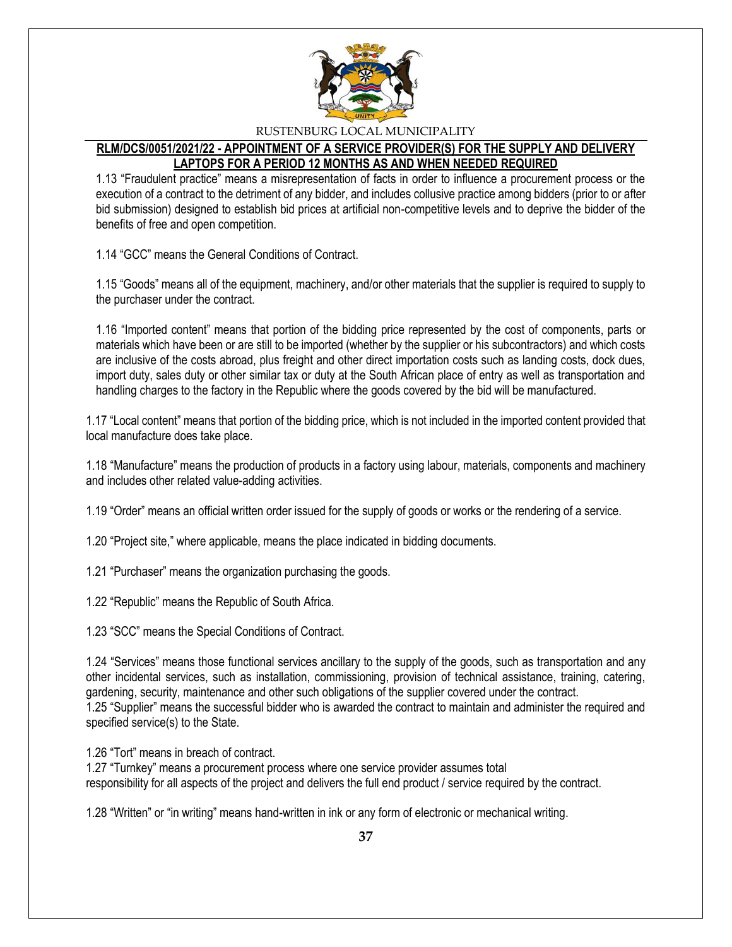

## **RLM/DCS/0051/2021/22 - APPOINTMENT OF A SERVICE PROVIDER(S) FOR THE SUPPLY AND DELIVERY LAPTOPS FOR A PERIOD 12 MONTHS AS AND WHEN NEEDED REQUIRED**

1.13 "Fraudulent practice" means a misrepresentation of facts in order to influence a procurement process or the execution of a contract to the detriment of any bidder, and includes collusive practice among bidders (prior to or after bid submission) designed to establish bid prices at artificial non-competitive levels and to deprive the bidder of the benefits of free and open competition.

1.14 "GCC" means the General Conditions of Contract.

1.15 "Goods" means all of the equipment, machinery, and/or other materials that the supplier is required to supply to the purchaser under the contract.

1.16 "Imported content" means that portion of the bidding price represented by the cost of components, parts or materials which have been or are still to be imported (whether by the supplier or his subcontractors) and which costs are inclusive of the costs abroad, plus freight and other direct importation costs such as landing costs, dock dues, import duty, sales duty or other similar tax or duty at the South African place of entry as well as transportation and handling charges to the factory in the Republic where the goods covered by the bid will be manufactured.

1.17 "Local content" means that portion of the bidding price, which is not included in the imported content provided that local manufacture does take place.

1.18 "Manufacture" means the production of products in a factory using labour, materials, components and machinery and includes other related value-adding activities.

1.19 "Order" means an official written order issued for the supply of goods or works or the rendering of a service.

1.20 "Project site," where applicable, means the place indicated in bidding documents.

1.21 "Purchaser" means the organization purchasing the goods.

1.22 "Republic" means the Republic of South Africa.

1.23 "SCC" means the Special Conditions of Contract.

1.24 "Services" means those functional services ancillary to the supply of the goods, such as transportation and any other incidental services, such as installation, commissioning, provision of technical assistance, training, catering, gardening, security, maintenance and other such obligations of the supplier covered under the contract. 1.25 "Supplier" means the successful bidder who is awarded the contract to maintain and administer the required and specified service(s) to the State.

1.26 "Tort" means in breach of contract.

1.27 "Turnkey" means a procurement process where one service provider assumes total responsibility for all aspects of the project and delivers the full end product / service required by the contract.

1.28 "Written" or "in writing" means hand-written in ink or any form of electronic or mechanical writing.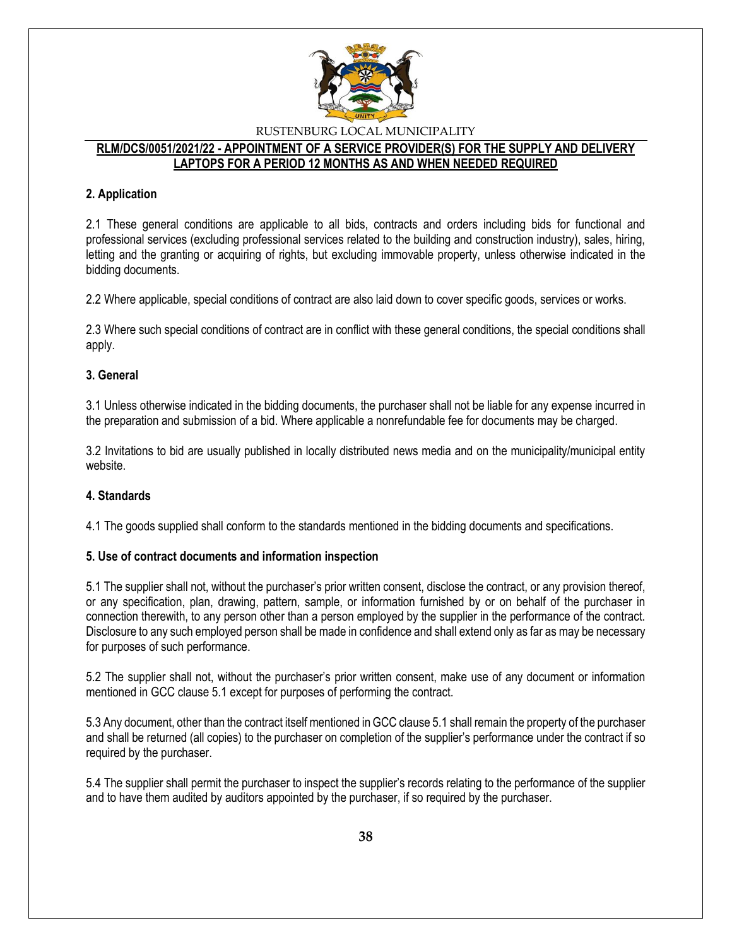

#### **RLM/DCS/0051/2021/22 - APPOINTMENT OF A SERVICE PROVIDER(S) FOR THE SUPPLY AND DELIVERY LAPTOPS FOR A PERIOD 12 MONTHS AS AND WHEN NEEDED REQUIRED**

#### **2. Application**

2.1 These general conditions are applicable to all bids, contracts and orders including bids for functional and professional services (excluding professional services related to the building and construction industry), sales, hiring, letting and the granting or acquiring of rights, but excluding immovable property, unless otherwise indicated in the bidding documents.

2.2 Where applicable, special conditions of contract are also laid down to cover specific goods, services or works.

2.3 Where such special conditions of contract are in conflict with these general conditions, the special conditions shall apply.

#### **3. General**

3.1 Unless otherwise indicated in the bidding documents, the purchaser shall not be liable for any expense incurred in the preparation and submission of a bid. Where applicable a nonrefundable fee for documents may be charged.

3.2 Invitations to bid are usually published in locally distributed news media and on the municipality/municipal entity website.

#### **4. Standards**

4.1 The goods supplied shall conform to the standards mentioned in the bidding documents and specifications.

#### **5. Use of contract documents and information inspection**

5.1 The supplier shall not, without the purchaser's prior written consent, disclose the contract, or any provision thereof, or any specification, plan, drawing, pattern, sample, or information furnished by or on behalf of the purchaser in connection therewith, to any person other than a person employed by the supplier in the performance of the contract. Disclosure to any such employed person shall be made in confidence and shall extend only as far as may be necessary for purposes of such performance.

5.2 The supplier shall not, without the purchaser's prior written consent, make use of any document or information mentioned in GCC clause 5.1 except for purposes of performing the contract.

5.3 Any document, other than the contract itself mentioned in GCC clause 5.1 shall remain the property of the purchaser and shall be returned (all copies) to the purchaser on completion of the supplier's performance under the contract if so required by the purchaser.

5.4 The supplier shall permit the purchaser to inspect the supplier's records relating to the performance of the supplier and to have them audited by auditors appointed by the purchaser, if so required by the purchaser.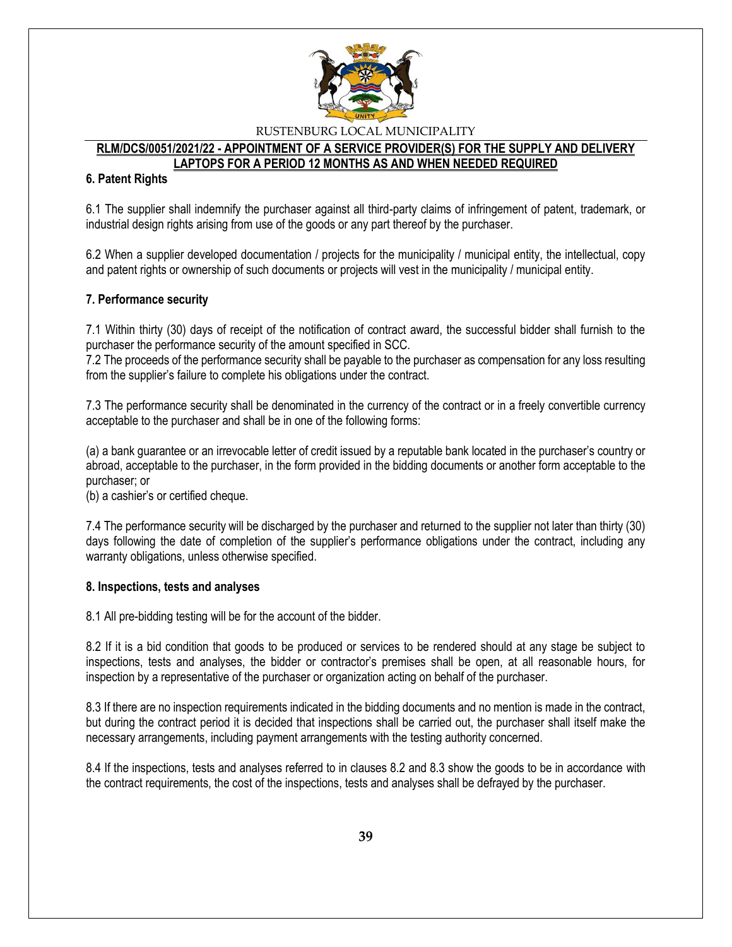

#### **RLM/DCS/0051/2021/22 - APPOINTMENT OF A SERVICE PROVIDER(S) FOR THE SUPPLY AND DELIVERY LAPTOPS FOR A PERIOD 12 MONTHS AS AND WHEN NEEDED REQUIRED**

#### **6. Patent Rights**

6.1 The supplier shall indemnify the purchaser against all third-party claims of infringement of patent, trademark, or industrial design rights arising from use of the goods or any part thereof by the purchaser.

6.2 When a supplier developed documentation / projects for the municipality / municipal entity, the intellectual, copy and patent rights or ownership of such documents or projects will vest in the municipality / municipal entity.

#### **7. Performance security**

7.1 Within thirty (30) days of receipt of the notification of contract award, the successful bidder shall furnish to the purchaser the performance security of the amount specified in SCC.

7.2 The proceeds of the performance security shall be payable to the purchaser as compensation for any loss resulting from the supplier's failure to complete his obligations under the contract.

7.3 The performance security shall be denominated in the currency of the contract or in a freely convertible currency acceptable to the purchaser and shall be in one of the following forms:

(a) a bank guarantee or an irrevocable letter of credit issued by a reputable bank located in the purchaser's country or abroad, acceptable to the purchaser, in the form provided in the bidding documents or another form acceptable to the purchaser; or

(b) a cashier's or certified cheque.

7.4 The performance security will be discharged by the purchaser and returned to the supplier not later than thirty (30) days following the date of completion of the supplier's performance obligations under the contract, including any warranty obligations, unless otherwise specified.

#### **8. Inspections, tests and analyses**

8.1 All pre-bidding testing will be for the account of the bidder.

8.2 If it is a bid condition that goods to be produced or services to be rendered should at any stage be subject to inspections, tests and analyses, the bidder or contractor's premises shall be open, at all reasonable hours, for inspection by a representative of the purchaser or organization acting on behalf of the purchaser.

8.3 If there are no inspection requirements indicated in the bidding documents and no mention is made in the contract, but during the contract period it is decided that inspections shall be carried out, the purchaser shall itself make the necessary arrangements, including payment arrangements with the testing authority concerned.

8.4 If the inspections, tests and analyses referred to in clauses 8.2 and 8.3 show the goods to be in accordance with the contract requirements, the cost of the inspections, tests and analyses shall be defrayed by the purchaser.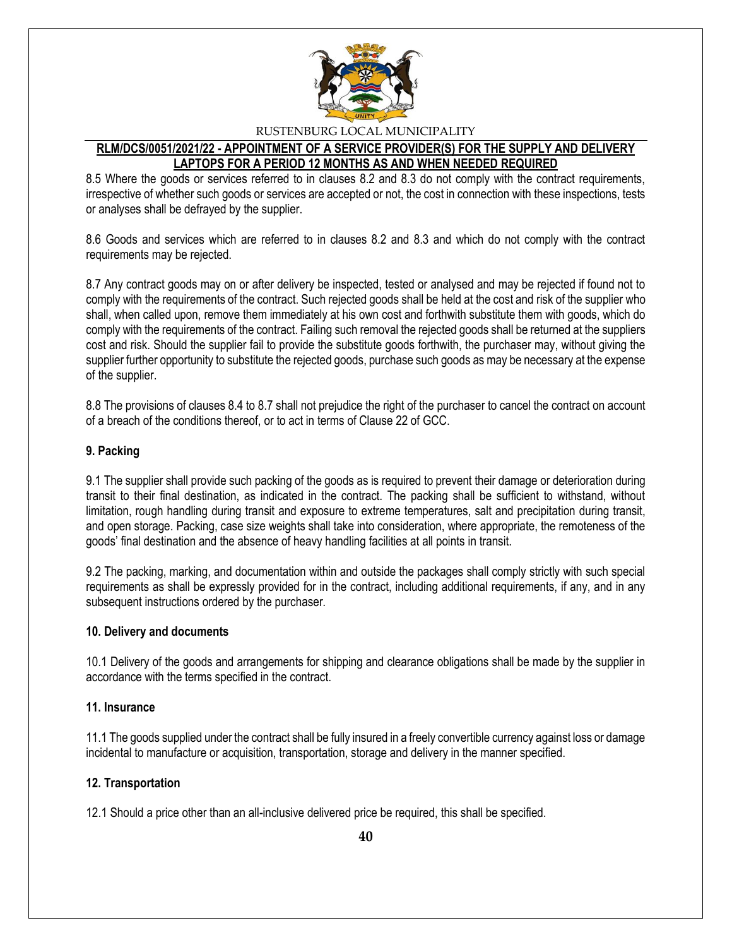

## **RLM/DCS/0051/2021/22 - APPOINTMENT OF A SERVICE PROVIDER(S) FOR THE SUPPLY AND DELIVERY LAPTOPS FOR A PERIOD 12 MONTHS AS AND WHEN NEEDED REQUIRED**

8.5 Where the goods or services referred to in clauses 8.2 and 8.3 do not comply with the contract requirements, irrespective of whether such goods or services are accepted or not, the cost in connection with these inspections, tests or analyses shall be defrayed by the supplier.

8.6 Goods and services which are referred to in clauses 8.2 and 8.3 and which do not comply with the contract requirements may be rejected.

8.7 Any contract goods may on or after delivery be inspected, tested or analysed and may be rejected if found not to comply with the requirements of the contract. Such rejected goods shall be held at the cost and risk of the supplier who shall, when called upon, remove them immediately at his own cost and forthwith substitute them with goods, which do comply with the requirements of the contract. Failing such removal the rejected goods shall be returned at the suppliers cost and risk. Should the supplier fail to provide the substitute goods forthwith, the purchaser may, without giving the supplier further opportunity to substitute the rejected goods, purchase such goods as may be necessary at the expense of the supplier.

8.8 The provisions of clauses 8.4 to 8.7 shall not prejudice the right of the purchaser to cancel the contract on account of a breach of the conditions thereof, or to act in terms of Clause 22 of GCC.

### **9. Packing**

9.1 The supplier shall provide such packing of the goods as is required to prevent their damage or deterioration during transit to their final destination, as indicated in the contract. The packing shall be sufficient to withstand, without limitation, rough handling during transit and exposure to extreme temperatures, salt and precipitation during transit, and open storage. Packing, case size weights shall take into consideration, where appropriate, the remoteness of the goods' final destination and the absence of heavy handling facilities at all points in transit.

9.2 The packing, marking, and documentation within and outside the packages shall comply strictly with such special requirements as shall be expressly provided for in the contract, including additional requirements, if any, and in any subsequent instructions ordered by the purchaser.

#### **10. Delivery and documents**

10.1 Delivery of the goods and arrangements for shipping and clearance obligations shall be made by the supplier in accordance with the terms specified in the contract.

#### **11. Insurance**

11.1 The goods supplied under the contract shall be fully insured in a freely convertible currency against loss or damage incidental to manufacture or acquisition, transportation, storage and delivery in the manner specified.

#### **12. Transportation**

12.1 Should a price other than an all-inclusive delivered price be required, this shall be specified.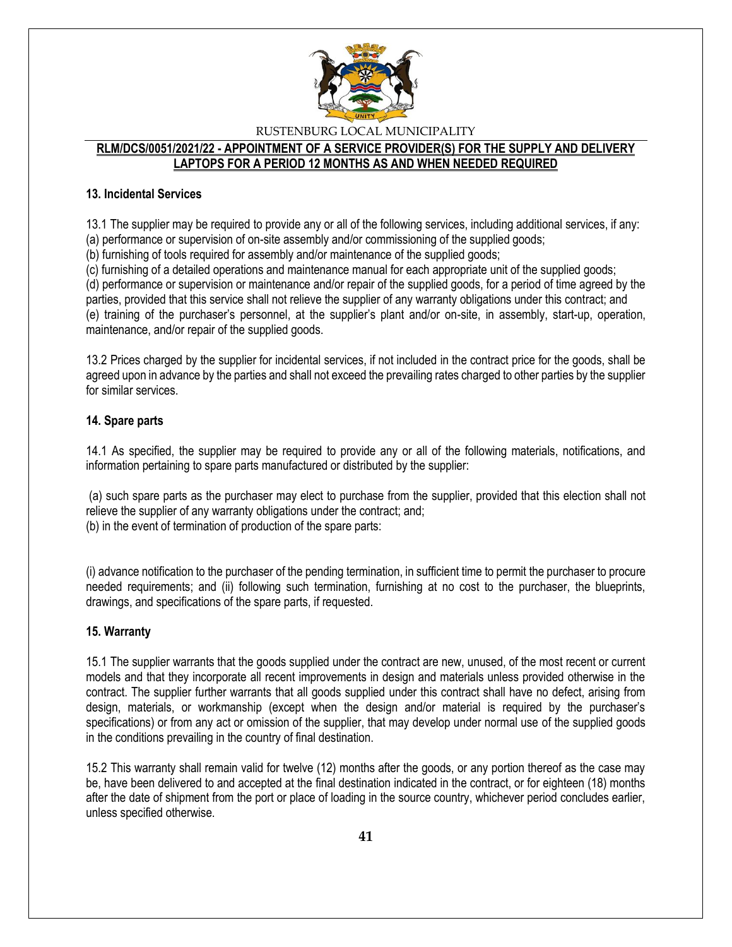

### **RLM/DCS/0051/2021/22 - APPOINTMENT OF A SERVICE PROVIDER(S) FOR THE SUPPLY AND DELIVERY LAPTOPS FOR A PERIOD 12 MONTHS AS AND WHEN NEEDED REQUIRED**

#### **13. Incidental Services**

13.1 The supplier may be required to provide any or all of the following services, including additional services, if any:

(a) performance or supervision of on-site assembly and/or commissioning of the supplied goods;

(b) furnishing of tools required for assembly and/or maintenance of the supplied goods;

(c) furnishing of a detailed operations and maintenance manual for each appropriate unit of the supplied goods;

(d) performance or supervision or maintenance and/or repair of the supplied goods, for a period of time agreed by the parties, provided that this service shall not relieve the supplier of any warranty obligations under this contract; and (e) training of the purchaser's personnel, at the supplier's plant and/or on-site, in assembly, start-up, operation, maintenance, and/or repair of the supplied goods.

13.2 Prices charged by the supplier for incidental services, if not included in the contract price for the goods, shall be agreed upon in advance by the parties and shall not exceed the prevailing rates charged to other parties by the supplier for similar services.

### **14. Spare parts**

14.1 As specified, the supplier may be required to provide any or all of the following materials, notifications, and information pertaining to spare parts manufactured or distributed by the supplier:

(a) such spare parts as the purchaser may elect to purchase from the supplier, provided that this election shall not relieve the supplier of any warranty obligations under the contract; and; (b) in the event of termination of production of the spare parts:

(i) advance notification to the purchaser of the pending termination, in sufficient time to permit the purchaser to procure needed requirements; and (ii) following such termination, furnishing at no cost to the purchaser, the blueprints, drawings, and specifications of the spare parts, if requested.

## **15. Warranty**

15.1 The supplier warrants that the goods supplied under the contract are new, unused, of the most recent or current models and that they incorporate all recent improvements in design and materials unless provided otherwise in the contract. The supplier further warrants that all goods supplied under this contract shall have no defect, arising from design, materials, or workmanship (except when the design and/or material is required by the purchaser's specifications) or from any act or omission of the supplier, that may develop under normal use of the supplied goods in the conditions prevailing in the country of final destination.

15.2 This warranty shall remain valid for twelve (12) months after the goods, or any portion thereof as the case may be, have been delivered to and accepted at the final destination indicated in the contract, or for eighteen (18) months after the date of shipment from the port or place of loading in the source country, whichever period concludes earlier, unless specified otherwise.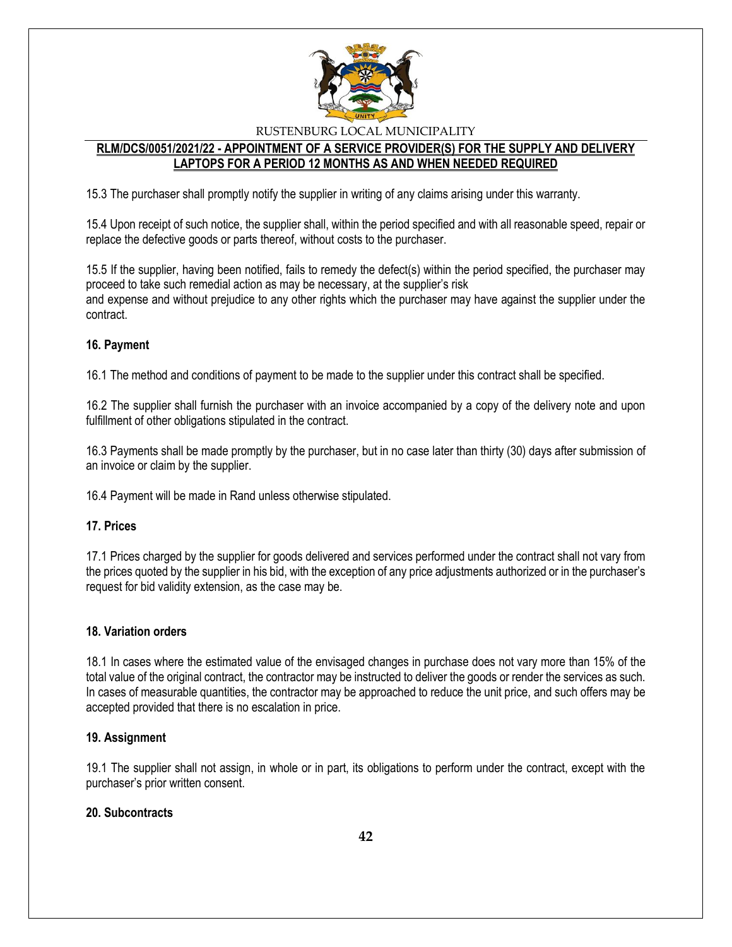

## **RLM/DCS/0051/2021/22 - APPOINTMENT OF A SERVICE PROVIDER(S) FOR THE SUPPLY AND DELIVERY LAPTOPS FOR A PERIOD 12 MONTHS AS AND WHEN NEEDED REQUIRED**

15.3 The purchaser shall promptly notify the supplier in writing of any claims arising under this warranty.

15.4 Upon receipt of such notice, the supplier shall, within the period specified and with all reasonable speed, repair or replace the defective goods or parts thereof, without costs to the purchaser.

15.5 If the supplier, having been notified, fails to remedy the defect(s) within the period specified, the purchaser may proceed to take such remedial action as may be necessary, at the supplier's risk and expense and without prejudice to any other rights which the purchaser may have against the supplier under the contract.

### **16. Payment**

16.1 The method and conditions of payment to be made to the supplier under this contract shall be specified.

16.2 The supplier shall furnish the purchaser with an invoice accompanied by a copy of the delivery note and upon fulfillment of other obligations stipulated in the contract.

16.3 Payments shall be made promptly by the purchaser, but in no case later than thirty (30) days after submission of an invoice or claim by the supplier.

16.4 Payment will be made in Rand unless otherwise stipulated.

#### **17. Prices**

17.1 Prices charged by the supplier for goods delivered and services performed under the contract shall not vary from the prices quoted by the supplier in his bid, with the exception of any price adjustments authorized or in the purchaser's request for bid validity extension, as the case may be.

#### **18. Variation orders**

18.1 In cases where the estimated value of the envisaged changes in purchase does not vary more than 15% of the total value of the original contract, the contractor may be instructed to deliver the goods or render the services as such. In cases of measurable quantities, the contractor may be approached to reduce the unit price, and such offers may be accepted provided that there is no escalation in price.

#### **19. Assignment**

19.1 The supplier shall not assign, in whole or in part, its obligations to perform under the contract, except with the purchaser's prior written consent.

## **20. Subcontracts**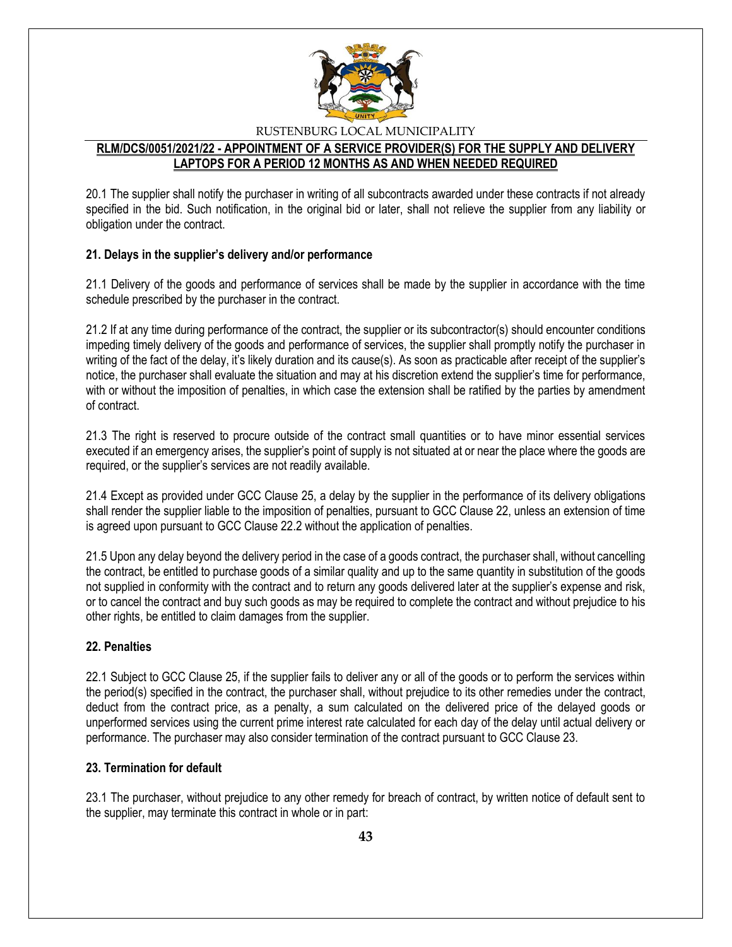

## **RLM/DCS/0051/2021/22 - APPOINTMENT OF A SERVICE PROVIDER(S) FOR THE SUPPLY AND DELIVERY LAPTOPS FOR A PERIOD 12 MONTHS AS AND WHEN NEEDED REQUIRED**

20.1 The supplier shall notify the purchaser in writing of all subcontracts awarded under these contracts if not already specified in the bid. Such notification, in the original bid or later, shall not relieve the supplier from any liability or obligation under the contract.

### **21. Delays in the supplier's delivery and/or performance**

21.1 Delivery of the goods and performance of services shall be made by the supplier in accordance with the time schedule prescribed by the purchaser in the contract.

21.2 If at any time during performance of the contract, the supplier or its subcontractor(s) should encounter conditions impeding timely delivery of the goods and performance of services, the supplier shall promptly notify the purchaser in writing of the fact of the delay, it's likely duration and its cause(s). As soon as practicable after receipt of the supplier's notice, the purchaser shall evaluate the situation and may at his discretion extend the supplier's time for performance, with or without the imposition of penalties, in which case the extension shall be ratified by the parties by amendment of contract.

21.3 The right is reserved to procure outside of the contract small quantities or to have minor essential services executed if an emergency arises, the supplier's point of supply is not situated at or near the place where the goods are required, or the supplier's services are not readily available.

21.4 Except as provided under GCC Clause 25, a delay by the supplier in the performance of its delivery obligations shall render the supplier liable to the imposition of penalties, pursuant to GCC Clause 22, unless an extension of time is agreed upon pursuant to GCC Clause 22.2 without the application of penalties.

21.5 Upon any delay beyond the delivery period in the case of a goods contract, the purchaser shall, without cancelling the contract, be entitled to purchase goods of a similar quality and up to the same quantity in substitution of the goods not supplied in conformity with the contract and to return any goods delivered later at the supplier's expense and risk, or to cancel the contract and buy such goods as may be required to complete the contract and without prejudice to his other rights, be entitled to claim damages from the supplier.

## **22. Penalties**

22.1 Subject to GCC Clause 25, if the supplier fails to deliver any or all of the goods or to perform the services within the period(s) specified in the contract, the purchaser shall, without prejudice to its other remedies under the contract, deduct from the contract price, as a penalty, a sum calculated on the delivered price of the delayed goods or unperformed services using the current prime interest rate calculated for each day of the delay until actual delivery or performance. The purchaser may also consider termination of the contract pursuant to GCC Clause 23.

#### **23. Termination for default**

23.1 The purchaser, without prejudice to any other remedy for breach of contract, by written notice of default sent to the supplier, may terminate this contract in whole or in part: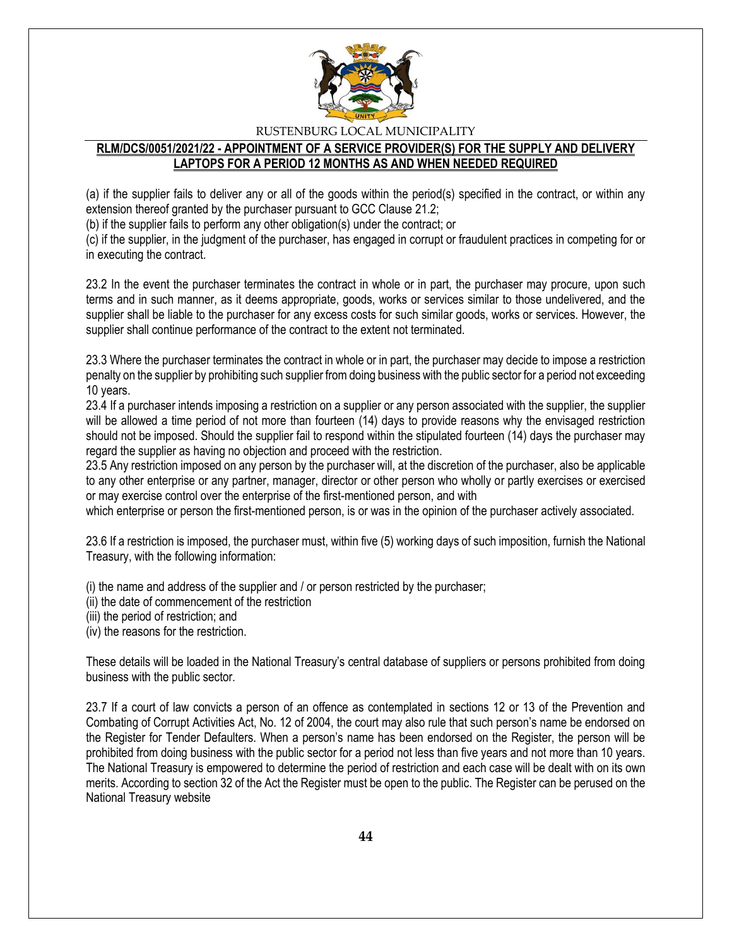

## **RLM/DCS/0051/2021/22 - APPOINTMENT OF A SERVICE PROVIDER(S) FOR THE SUPPLY AND DELIVERY LAPTOPS FOR A PERIOD 12 MONTHS AS AND WHEN NEEDED REQUIRED**

(a) if the supplier fails to deliver any or all of the goods within the period(s) specified in the contract, or within any extension thereof granted by the purchaser pursuant to GCC Clause 21.2;

(b) if the supplier fails to perform any other obligation(s) under the contract; or

(c) if the supplier, in the judgment of the purchaser, has engaged in corrupt or fraudulent practices in competing for or in executing the contract.

23.2 In the event the purchaser terminates the contract in whole or in part, the purchaser may procure, upon such terms and in such manner, as it deems appropriate, goods, works or services similar to those undelivered, and the supplier shall be liable to the purchaser for any excess costs for such similar goods, works or services. However, the supplier shall continue performance of the contract to the extent not terminated.

23.3 Where the purchaser terminates the contract in whole or in part, the purchaser may decide to impose a restriction penalty on the supplier by prohibiting such supplier from doing business with the public sector for a period not exceeding 10 years.

23.4 If a purchaser intends imposing a restriction on a supplier or any person associated with the supplier, the supplier will be allowed a time period of not more than fourteen (14) days to provide reasons why the envisaged restriction should not be imposed. Should the supplier fail to respond within the stipulated fourteen (14) days the purchaser may regard the supplier as having no objection and proceed with the restriction.

23.5 Any restriction imposed on any person by the purchaser will, at the discretion of the purchaser, also be applicable to any other enterprise or any partner, manager, director or other person who wholly or partly exercises or exercised or may exercise control over the enterprise of the first-mentioned person, and with

which enterprise or person the first-mentioned person, is or was in the opinion of the purchaser actively associated.

23.6 If a restriction is imposed, the purchaser must, within five (5) working days of such imposition, furnish the National Treasury, with the following information:

(i) the name and address of the supplier and / or person restricted by the purchaser;

(ii) the date of commencement of the restriction

(iii) the period of restriction; and

(iv) the reasons for the restriction.

These details will be loaded in the National Treasury's central database of suppliers or persons prohibited from doing business with the public sector.

23.7 If a court of law convicts a person of an offence as contemplated in sections 12 or 13 of the Prevention and Combating of Corrupt Activities Act, No. 12 of 2004, the court may also rule that such person's name be endorsed on the Register for Tender Defaulters. When a person's name has been endorsed on the Register, the person will be prohibited from doing business with the public sector for a period not less than five years and not more than 10 years. The National Treasury is empowered to determine the period of restriction and each case will be dealt with on its own merits. According to section 32 of the Act the Register must be open to the public. The Register can be perused on the National Treasury website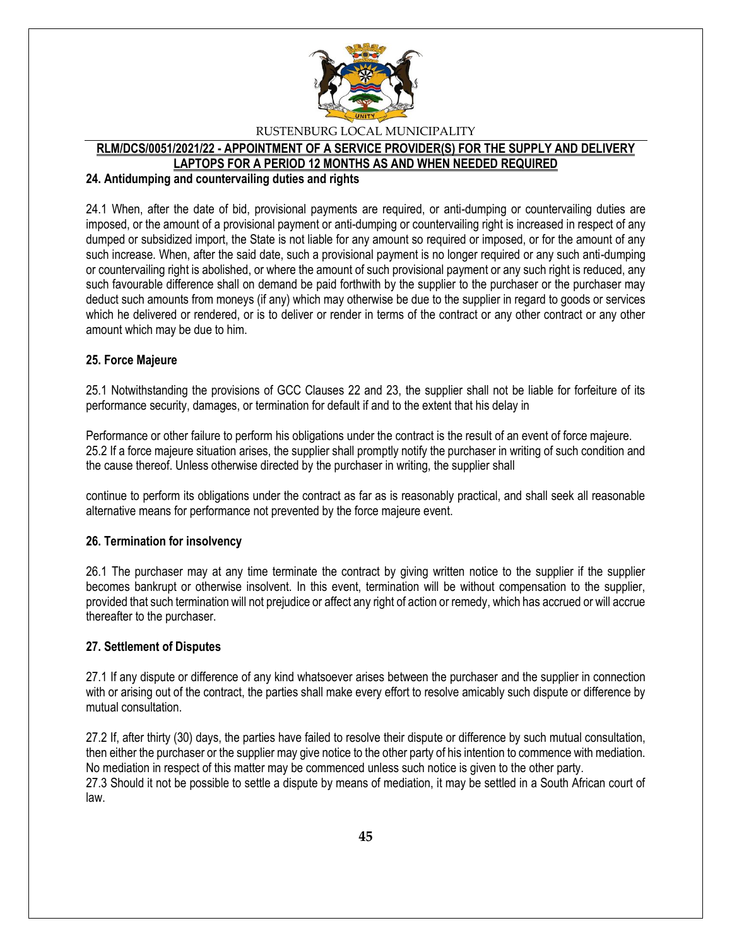

#### **RLM/DCS/0051/2021/22 - APPOINTMENT OF A SERVICE PROVIDER(S) FOR THE SUPPLY AND DELIVERY LAPTOPS FOR A PERIOD 12 MONTHS AS AND WHEN NEEDED REQUIRED**

#### **24. Antidumping and countervailing duties and rights**

24.1 When, after the date of bid, provisional payments are required, or anti-dumping or countervailing duties are imposed, or the amount of a provisional payment or anti-dumping or countervailing right is increased in respect of any dumped or subsidized import, the State is not liable for any amount so required or imposed, or for the amount of any such increase. When, after the said date, such a provisional payment is no longer required or any such anti-dumping or countervailing right is abolished, or where the amount of such provisional payment or any such right is reduced, any such favourable difference shall on demand be paid forthwith by the supplier to the purchaser or the purchaser may deduct such amounts from moneys (if any) which may otherwise be due to the supplier in regard to goods or services which he delivered or rendered, or is to deliver or render in terms of the contract or any other contract or any other amount which may be due to him.

#### **25. Force Majeure**

25.1 Notwithstanding the provisions of GCC Clauses 22 and 23, the supplier shall not be liable for forfeiture of its performance security, damages, or termination for default if and to the extent that his delay in

Performance or other failure to perform his obligations under the contract is the result of an event of force majeure. 25.2 If a force majeure situation arises, the supplier shall promptly notify the purchaser in writing of such condition and the cause thereof. Unless otherwise directed by the purchaser in writing, the supplier shall

continue to perform its obligations under the contract as far as is reasonably practical, and shall seek all reasonable alternative means for performance not prevented by the force majeure event.

#### **26. Termination for insolvency**

26.1 The purchaser may at any time terminate the contract by giving written notice to the supplier if the supplier becomes bankrupt or otherwise insolvent. In this event, termination will be without compensation to the supplier, provided that such termination will not prejudice or affect any right of action or remedy, which has accrued or will accrue thereafter to the purchaser.

#### **27. Settlement of Disputes**

27.1 If any dispute or difference of any kind whatsoever arises between the purchaser and the supplier in connection with or arising out of the contract, the parties shall make every effort to resolve amicably such dispute or difference by mutual consultation.

27.2 If, after thirty (30) days, the parties have failed to resolve their dispute or difference by such mutual consultation, then either the purchaser or the supplier may give notice to the other party of his intention to commence with mediation. No mediation in respect of this matter may be commenced unless such notice is given to the other party. 27.3 Should it not be possible to settle a dispute by means of mediation, it may be settled in a South African court of law.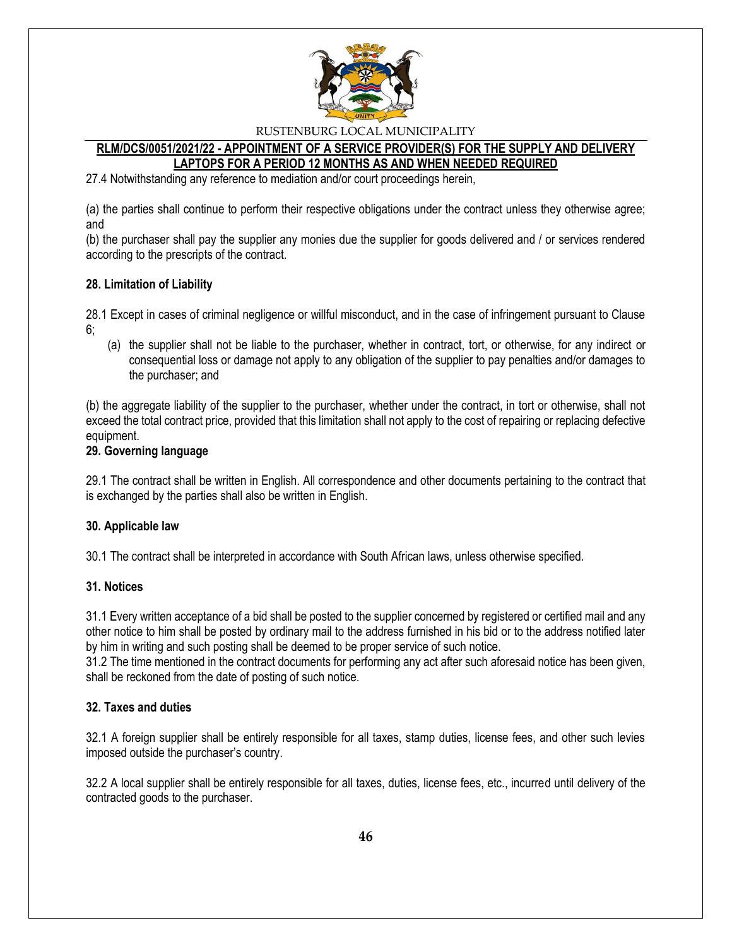

### **RLM/DCS/0051/2021/22 - APPOINTMENT OF A SERVICE PROVIDER(S) FOR THE SUPPLY AND DELIVERY LAPTOPS FOR A PERIOD 12 MONTHS AS AND WHEN NEEDED REQUIRED**

27.4 Notwithstanding any reference to mediation and/or court proceedings herein,

(a) the parties shall continue to perform their respective obligations under the contract unless they otherwise agree; and

(b) the purchaser shall pay the supplier any monies due the supplier for goods delivered and / or services rendered according to the prescripts of the contract.

#### **28. Limitation of Liability**

28.1 Except in cases of criminal negligence or willful misconduct, and in the case of infringement pursuant to Clause 6;

(a) the supplier shall not be liable to the purchaser, whether in contract, tort, or otherwise, for any indirect or consequential loss or damage not apply to any obligation of the supplier to pay penalties and/or damages to the purchaser; and

(b) the aggregate liability of the supplier to the purchaser, whether under the contract, in tort or otherwise, shall not exceed the total contract price, provided that this limitation shall not apply to the cost of repairing or replacing defective equipment.

#### **29. Governing language**

29.1 The contract shall be written in English. All correspondence and other documents pertaining to the contract that is exchanged by the parties shall also be written in English.

#### **30. Applicable law**

30.1 The contract shall be interpreted in accordance with South African laws, unless otherwise specified.

### **31. Notices**

31.1 Every written acceptance of a bid shall be posted to the supplier concerned by registered or certified mail and any other notice to him shall be posted by ordinary mail to the address furnished in his bid or to the address notified later by him in writing and such posting shall be deemed to be proper service of such notice.

31.2 The time mentioned in the contract documents for performing any act after such aforesaid notice has been given, shall be reckoned from the date of posting of such notice.

#### **32. Taxes and duties**

32.1 A foreign supplier shall be entirely responsible for all taxes, stamp duties, license fees, and other such levies imposed outside the purchaser's country.

32.2 A local supplier shall be entirely responsible for all taxes, duties, license fees, etc., incurred until delivery of the contracted goods to the purchaser.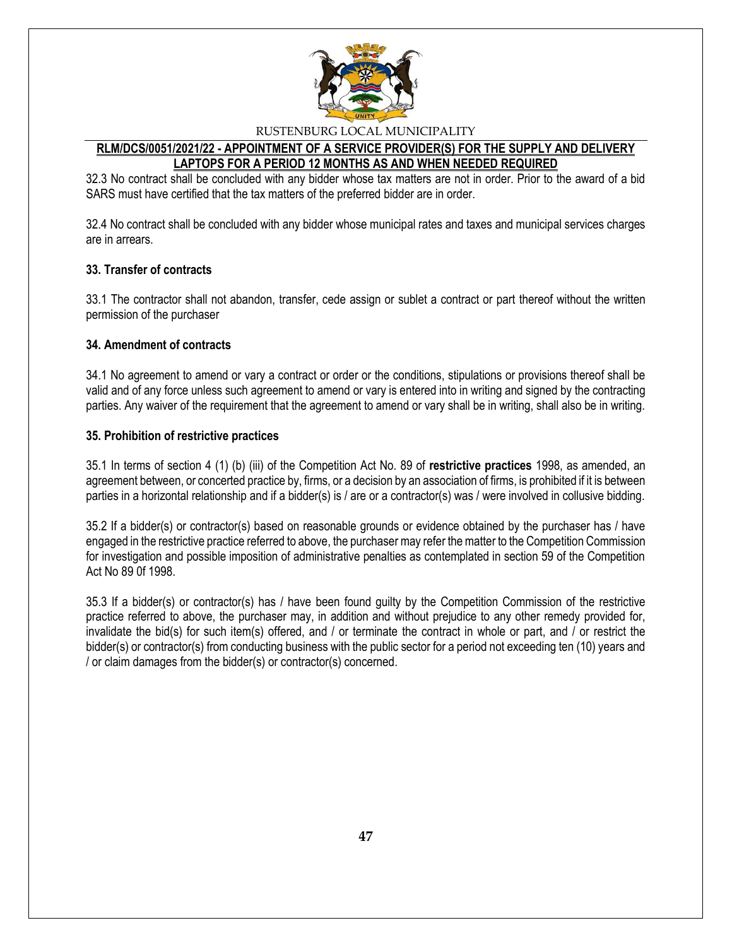

## **RLM/DCS/0051/2021/22 - APPOINTMENT OF A SERVICE PROVIDER(S) FOR THE SUPPLY AND DELIVERY LAPTOPS FOR A PERIOD 12 MONTHS AS AND WHEN NEEDED REQUIRED**

32.3 No contract shall be concluded with any bidder whose tax matters are not in order. Prior to the award of a bid SARS must have certified that the tax matters of the preferred bidder are in order.

32.4 No contract shall be concluded with any bidder whose municipal rates and taxes and municipal services charges are in arrears.

### **33. Transfer of contracts**

33.1 The contractor shall not abandon, transfer, cede assign or sublet a contract or part thereof without the written permission of the purchaser

### **34. Amendment of contracts**

34.1 No agreement to amend or vary a contract or order or the conditions, stipulations or provisions thereof shall be valid and of any force unless such agreement to amend or vary is entered into in writing and signed by the contracting parties. Any waiver of the requirement that the agreement to amend or vary shall be in writing, shall also be in writing.

### **35. Prohibition of restrictive practices**

35.1 In terms of section 4 (1) (b) (iii) of the Competition Act No. 89 of **restrictive practices** 1998, as amended, an agreement between, or concerted practice by, firms, or a decision by an association of firms, is prohibited if it is between parties in a horizontal relationship and if a bidder(s) is / are or a contractor(s) was / were involved in collusive bidding.

35.2 If a bidder(s) or contractor(s) based on reasonable grounds or evidence obtained by the purchaser has / have engaged in the restrictive practice referred to above, the purchaser may refer the matter to the Competition Commission for investigation and possible imposition of administrative penalties as contemplated in section 59 of the Competition Act No 89 0f 1998.

35.3 If a bidder(s) or contractor(s) has / have been found guilty by the Competition Commission of the restrictive practice referred to above, the purchaser may, in addition and without prejudice to any other remedy provided for, invalidate the bid(s) for such item(s) offered, and / or terminate the contract in whole or part, and / or restrict the bidder(s) or contractor(s) from conducting business with the public sector for a period not exceeding ten (10) years and / or claim damages from the bidder(s) or contractor(s) concerned.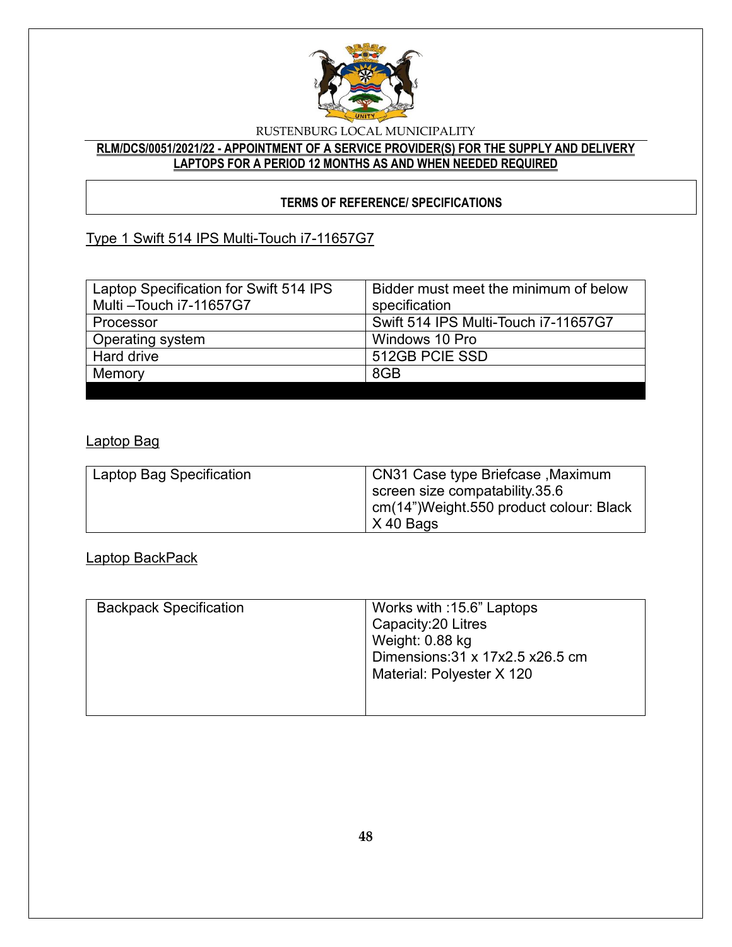

## **RLM/DCS/0051/2021/22 - APPOINTMENT OF A SERVICE PROVIDER(S) FOR THE SUPPLY AND DELIVERY LAPTOPS FOR A PERIOD 12 MONTHS AS AND WHEN NEEDED REQUIRED**

## **TERMS OF REFERENCE/ SPECIFICATIONS**

# Type 1 Swift 514 IPS Multi-Touch i7-11657G7

| Laptop Specification for Swift 514 IPS | Bidder must meet the minimum of below |
|----------------------------------------|---------------------------------------|
| Multi-Touch i7-11657G7                 | specification                         |
| Processor                              | Swift 514 IPS Multi-Touch i7-11657G7  |
| Operating system                       | Windows 10 Pro                        |
| <b>Hard drive</b>                      | 512GB PCIE SSD                        |
| Memory                                 | 8GB                                   |
|                                        |                                       |

## Laptop Bag

| Laptop Bag Specification | <b>CN31 Case type Briefcase , Maximum</b><br>screen size compatability 35.6   |
|--------------------------|-------------------------------------------------------------------------------|
|                          | cm(14")Weight.550 product colour: Black<br>$\overline{\phantom{0}}$ X 40 Bags |

## Laptop BackPack

| <b>Backpack Specification</b> | Works with :15.6" Laptops<br>Capacity: 20 Litres<br>Weight: 0.88 kg<br>Dimensions: 31 x 17x2.5 x26.5 cm<br>Material: Polyester X 120 |
|-------------------------------|--------------------------------------------------------------------------------------------------------------------------------------|
|-------------------------------|--------------------------------------------------------------------------------------------------------------------------------------|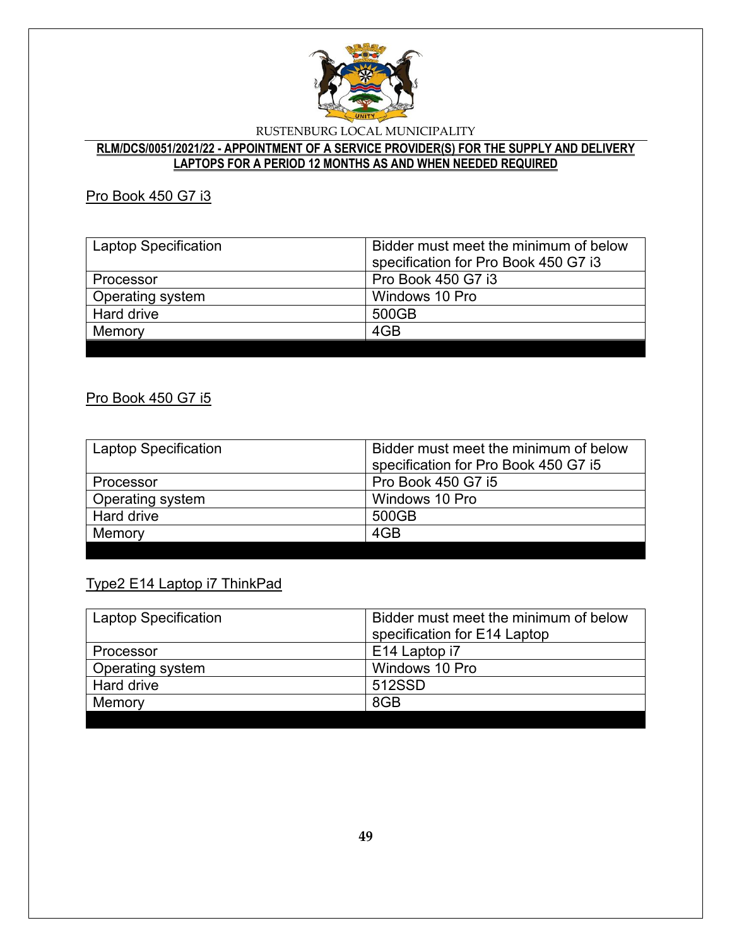

## **RLM/DCS/0051/2021/22 - APPOINTMENT OF A SERVICE PROVIDER(S) FOR THE SUPPLY AND DELIVERY LAPTOPS FOR A PERIOD 12 MONTHS AS AND WHEN NEEDED REQUIRED**

## Pro Book 450 G7 i3

| <b>Laptop Specification</b> | Bidder must meet the minimum of below<br>specification for Pro Book 450 G7 i3 |
|-----------------------------|-------------------------------------------------------------------------------|
| Processor                   | <b>Pro Book 450 G7 i3</b>                                                     |
| Operating system            | Windows 10 Pro                                                                |
| Hard drive                  | 500GB                                                                         |
| Memory                      | 4GB                                                                           |
|                             |                                                                               |

## Pro Book 450 G7 i5

| <b>Laptop Specification</b> | Bidder must meet the minimum of below<br>specification for Pro Book 450 G7 i5 |
|-----------------------------|-------------------------------------------------------------------------------|
| Processor                   | <b>Pro Book 450 G7 i5</b>                                                     |
| Operating system            | Windows 10 Pro                                                                |
| Hard drive                  | 500GB                                                                         |
| Memory                      | 4GB                                                                           |
|                             |                                                                               |

## Type2 E14 Laptop i7 ThinkPad

| <b>Laptop Specification</b> | Bidder must meet the minimum of below |
|-----------------------------|---------------------------------------|
|                             | specification for E14 Laptop          |
| Processor                   | E14 Laptop i7                         |
| <b>Operating system</b>     | Windows 10 Pro                        |
| Hard drive                  | 512SSD                                |
| Memory                      | 8GB                                   |
|                             |                                       |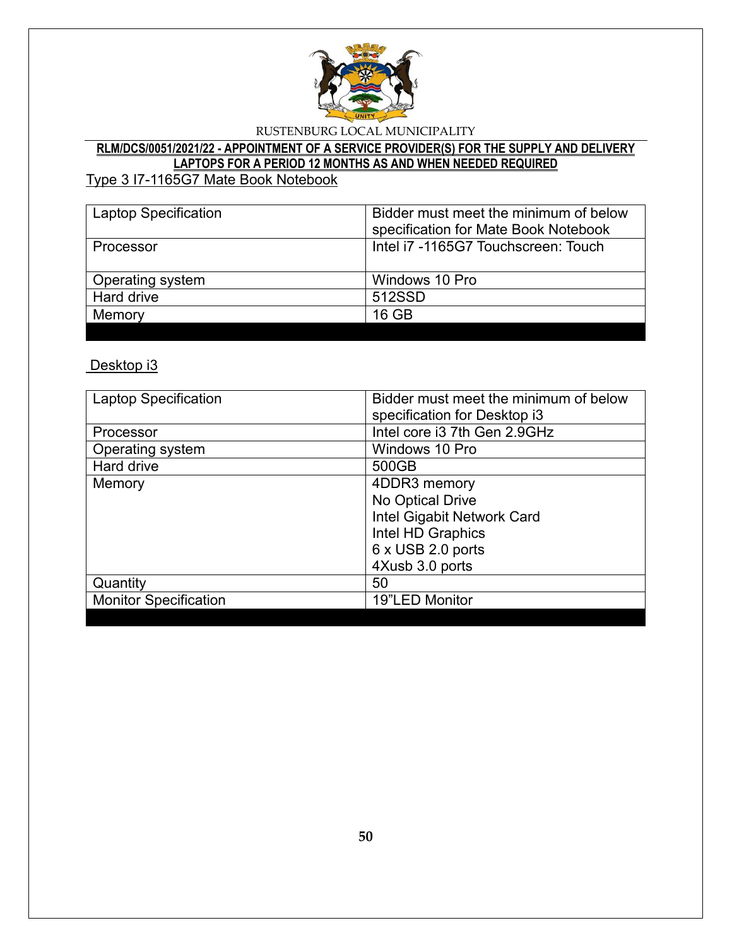

# **RLM/DCS/0051/2021/22 - APPOINTMENT OF A SERVICE PROVIDER(S) FOR THE SUPPLY AND DELIVERY LAPTOPS FOR A PERIOD 12 MONTHS AS AND WHEN NEEDED REQUIRED**

Type 3 I7-1165G7 Mate Book Notebook

| <b>Laptop Specification</b> | Bidder must meet the minimum of below<br>specification for Mate Book Notebook |
|-----------------------------|-------------------------------------------------------------------------------|
| Processor                   | Intel i7 -1165G7 Touchscreen: Touch                                           |
| Operating system            | Windows 10 Pro                                                                |
| Hard drive                  | 512SSD                                                                        |
| Memory                      | 16 GB                                                                         |
|                             |                                                                               |

Desktop i3

| <b>Laptop Specification</b>  | Bidder must meet the minimum of below |
|------------------------------|---------------------------------------|
|                              | specification for Desktop i3          |
| Processor                    | Intel core i3 7th Gen 2.9GHz          |
| Operating system             | Windows 10 Pro                        |
| Hard drive                   | 500GB                                 |
| Memory                       | 4DDR3 memory                          |
|                              | No Optical Drive                      |
|                              | Intel Gigabit Network Card            |
|                              | Intel HD Graphics                     |
|                              | 6 x USB 2.0 ports                     |
|                              | 4Xusb 3.0 ports                       |
| Quantity                     | 50                                    |
| <b>Monitor Specification</b> | 19"LED Monitor                        |
|                              |                                       |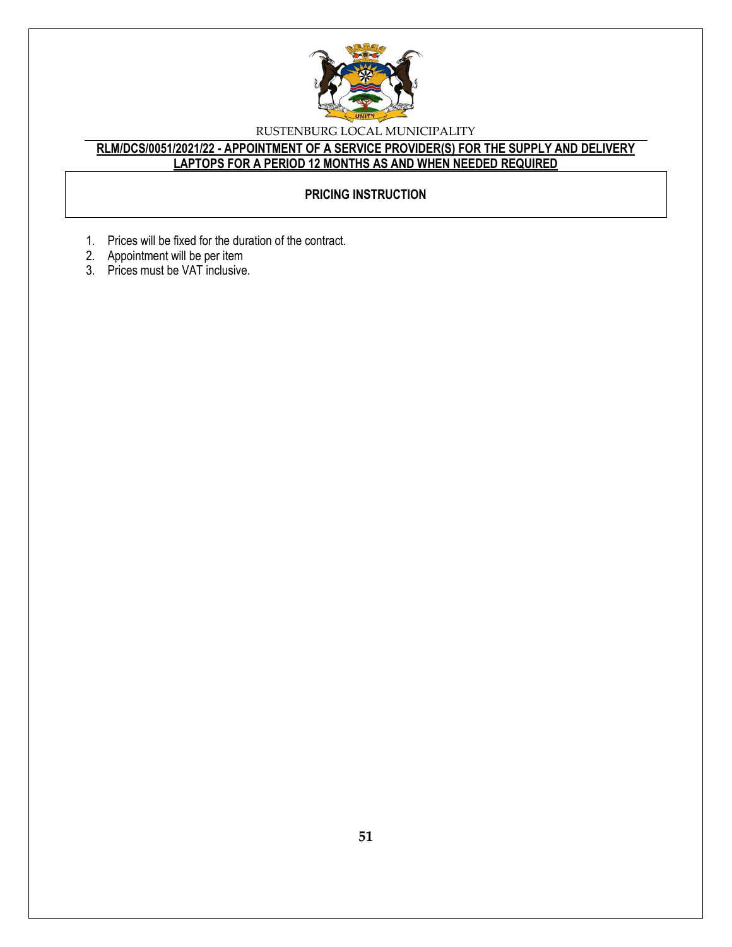

## **RLM/DCS/0051/2021/22 - APPOINTMENT OF A SERVICE PROVIDER(S) FOR THE SUPPLY AND DELIVERY LAPTOPS FOR A PERIOD 12 MONTHS AS AND WHEN NEEDED REQUIRED**

## **PRICING INSTRUCTION**

- 1. Prices will be fixed for the duration of the contract.
- 2. Appointment will be per item
- 3. Prices must be VAT inclusive.